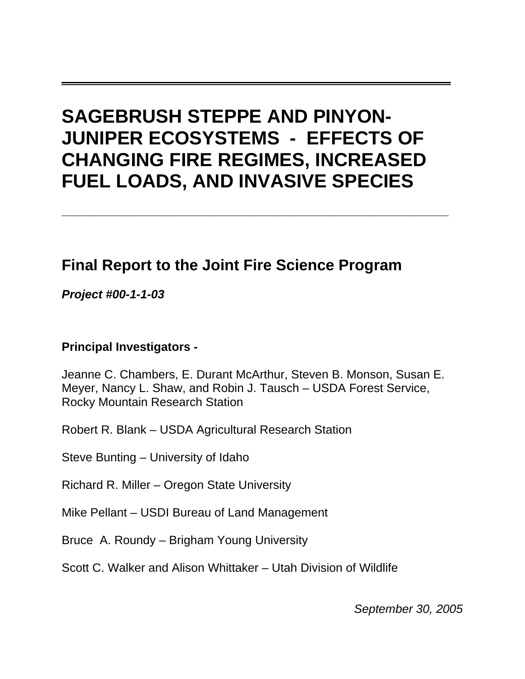# **SAGEBRUSH STEPPE AND PINYON-JUNIPER ECOSYSTEMS - EFFECTS OF CHANGING FIRE REGIMES, INCREASED FUEL LOADS, AND INVASIVE SPECIES**

**\_\_\_\_\_\_\_\_\_\_\_\_\_\_\_\_\_\_\_\_\_\_\_\_\_\_\_\_\_\_\_\_\_\_\_\_\_\_\_\_\_\_\_\_\_\_\_\_\_\_\_\_\_\_\_\_\_\_** 

**\_\_\_\_\_\_\_\_\_\_\_\_\_\_\_\_\_\_\_\_\_\_\_\_\_\_\_\_\_\_\_\_\_\_**

## **Final Report to the Joint Fire Science Program**

*Project #00-1-1-03* 

## **Principal Investigators -**

Jeanne C. Chambers, E. Durant McArthur, Steven B. Monson, Susan E. Meyer, Nancy L. Shaw, and Robin J. Tausch – USDA Forest Service, Rocky Mountain Research Station

Robert R. Blank – USDA Agricultural Research Station

Steve Bunting – University of Idaho

Richard R. Miller – Oregon State University

Mike Pellant – USDI Bureau of Land Management

Bruce A. Roundy – Brigham Young University

Scott C. Walker and Alison Whittaker – Utah Division of Wildlife

*September 30, 2005*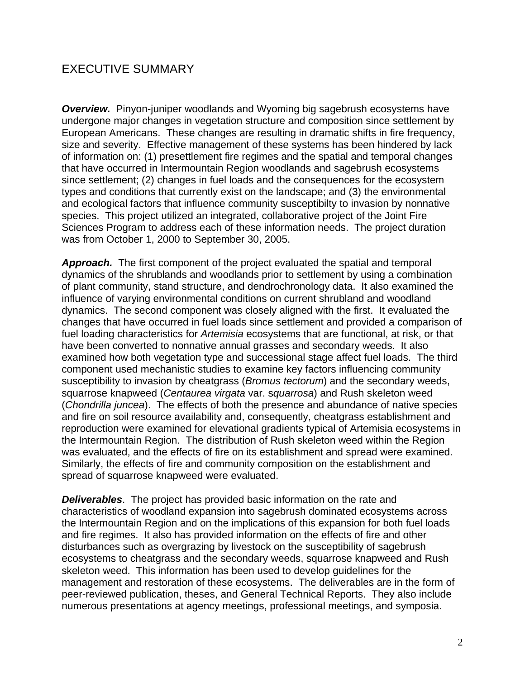## EXECUTIVE SUMMARY

**Overview.** Pinyon-juniper woodlands and Wyoming big sagebrush ecosystems have undergone major changes in vegetation structure and composition since settlement by European Americans. These changes are resulting in dramatic shifts in fire frequency, size and severity. Effective management of these systems has been hindered by lack of information on: (1) presettlement fire regimes and the spatial and temporal changes that have occurred in Intermountain Region woodlands and sagebrush ecosystems since settlement; (2) changes in fuel loads and the consequences for the ecosystem types and conditions that currently exist on the landscape; and (3) the environmental and ecological factors that influence community susceptibilty to invasion by nonnative species. This project utilized an integrated, collaborative project of the Joint Fire Sciences Program to address each of these information needs. The project duration was from October 1, 2000 to September 30, 2005.

*Approach.* The first component of the project evaluated the spatial and temporal dynamics of the shrublands and woodlands prior to settlement by using a combination of plant community, stand structure, and dendrochronology data. It also examined the influence of varying environmental conditions on current shrubland and woodland dynamics. The second component was closely aligned with the first. It evaluated the changes that have occurred in fuel loads since settlement and provided a comparison of fuel loading characteristics for *Artemisia* ecosystems that are functional, at risk, or that have been converted to nonnative annual grasses and secondary weeds. It also examined how both vegetation type and successional stage affect fuel loads. The third component used mechanistic studies to examine key factors influencing community susceptibility to invasion by cheatgrass (*Bromus tectorum*) and the secondary weeds, squarrose knapweed (*Centaurea virgata* var. s*quarrosa*) and Rush skeleton weed (*Chondrilla juncea*). The effects of both the presence and abundance of native species and fire on soil resource availability and, consequently, cheatgrass establishment and reproduction were examined for elevational gradients typical of Artemisia ecosystems in the Intermountain Region. The distribution of Rush skeleton weed within the Region was evaluated, and the effects of fire on its establishment and spread were examined. Similarly, the effects of fire and community composition on the establishment and spread of squarrose knapweed were evaluated.

*Deliverables*. The project has provided basic information on the rate and characteristics of woodland expansion into sagebrush dominated ecosystems across the Intermountain Region and on the implications of this expansion for both fuel loads and fire regimes. It also has provided information on the effects of fire and other disturbances such as overgrazing by livestock on the susceptibility of sagebrush ecosystems to cheatgrass and the secondary weeds, squarrose knapweed and Rush skeleton weed. This information has been used to develop guidelines for the management and restoration of these ecosystems. The deliverables are in the form of peer-reviewed publication, theses, and General Technical Reports. They also include numerous presentations at agency meetings, professional meetings, and symposia.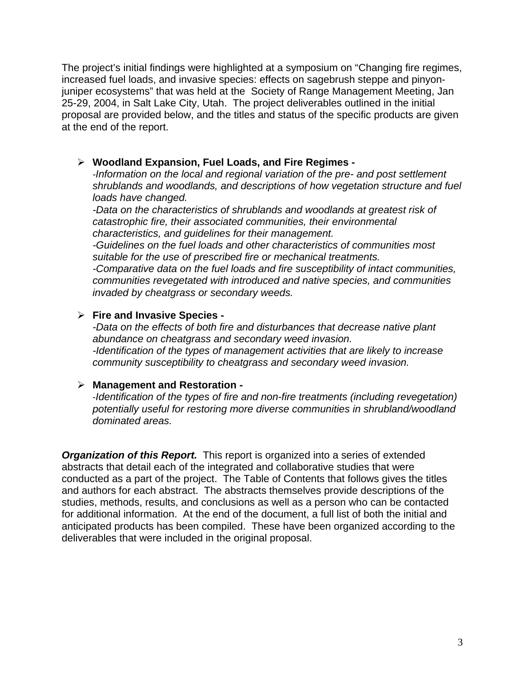The project's initial findings were highlighted at a symposium on "Changing fire regimes, increased fuel loads, and invasive species: effects on sagebrush steppe and pinyonjuniper ecosystems" that was held at the Society of Range Management Meeting, Jan 25-29, 2004, in Salt Lake City, Utah. The project deliverables outlined in the initial proposal are provided below, and the titles and status of the specific products are given at the end of the report.

### ¾ **Woodland Expansion, Fuel Loads, and Fire Regimes -**

*-Information on the local and regional variation of the pre- and post settlement shrublands and woodlands, and descriptions of how vegetation structure and fuel loads have changed.* 

*-Data on the characteristics of shrublands and woodlands at greatest risk of catastrophic fire, their associated communities, their environmental characteristics, and guidelines for their management.*

*-Guidelines on the fuel loads and other characteristics of communities most suitable for the use of prescribed fire or mechanical treatments.* 

*-Comparative data on the fuel loads and fire susceptibility of intact communities, communities revegetated with introduced and native species, and communities invaded by cheatgrass or secondary weeds.* 

### ¾ **Fire and Invasive Species -**

*-Data on the effects of both fire and disturbances that decrease native plant abundance on cheatgrass and secondary weed invasion. -Identification of the types of management activities that are likely to increase community susceptibility to cheatgrass and secondary weed invasion.* 

#### ¾ **Management and Restoration -**

-*Identification of the types of fire and non-fire treatments (including revegetation) potentially useful for restoring more diverse communities in shrubland/woodland dominated areas.*

**Organization of this Report.** This report is organized into a series of extended abstracts that detail each of the integrated and collaborative studies that were conducted as a part of the project. The Table of Contents that follows gives the titles and authors for each abstract. The abstracts themselves provide descriptions of the studies, methods, results, and conclusions as well as a person who can be contacted for additional information. At the end of the document, a full list of both the initial and anticipated products has been compiled. These have been organized according to the deliverables that were included in the original proposal.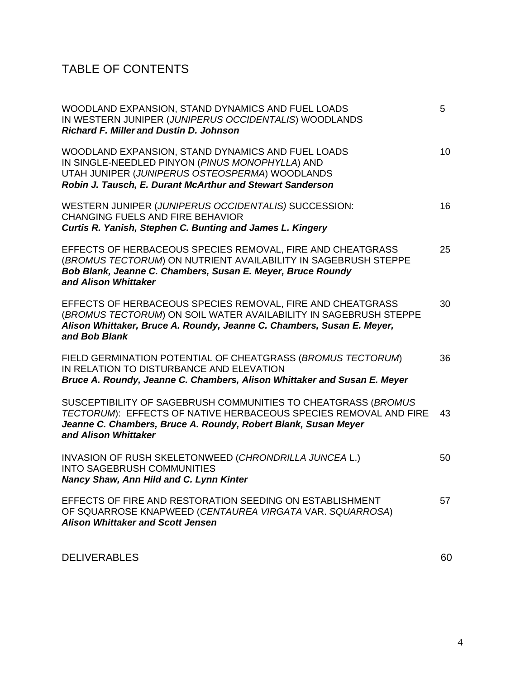## TABLE OF CONTENTS

| WOODLAND EXPANSION, STAND DYNAMICS AND FUEL LOADS<br>IN WESTERN JUNIPER (JUNIPERUS OCCIDENTALIS) WOODLANDS<br><b>Richard F. Miller and Dustin D. Johnson</b>                                                                | 5  |
|-----------------------------------------------------------------------------------------------------------------------------------------------------------------------------------------------------------------------------|----|
| WOODLAND EXPANSION, STAND DYNAMICS AND FUEL LOADS<br>IN SINGLE-NEEDLED PINYON (PINUS MONOPHYLLA) AND<br>UTAH JUNIPER (JUNIPERUS OSTEOSPERMA) WOODLANDS<br>Robin J. Tausch, E. Durant McArthur and Stewart Sanderson         | 10 |
| WESTERN JUNIPER (JUNIPERUS OCCIDENTALIS) SUCCESSION:<br><b>CHANGING FUELS AND FIRE BEHAVIOR</b><br>Curtis R. Yanish, Stephen C. Bunting and James L. Kingery                                                                | 16 |
| EFFECTS OF HERBACEOUS SPECIES REMOVAL, FIRE AND CHEATGRASS<br>(BROMUS TECTORUM) ON NUTRIENT AVAILABILITY IN SAGEBRUSH STEPPE<br>Bob Blank, Jeanne C. Chambers, Susan E. Meyer, Bruce Roundy<br>and Alison Whittaker         | 25 |
| EFFECTS OF HERBACEOUS SPECIES REMOVAL, FIRE AND CHEATGRASS<br>(BROMUS TECTORUM) ON SOIL WATER AVAILABILITY IN SAGEBRUSH STEPPE<br>Alison Whittaker, Bruce A. Roundy, Jeanne C. Chambers, Susan E. Meyer,<br>and Bob Blank   | 30 |
| FIELD GERMINATION POTENTIAL OF CHEATGRASS (BROMUS TECTORUM)<br>IN RELATION TO DISTURBANCE AND ELEVATION<br>Bruce A. Roundy, Jeanne C. Chambers, Alison Whittaker and Susan E. Meyer                                         | 36 |
| SUSCEPTIBILITY OF SAGEBRUSH COMMUNITIES TO CHEATGRASS (BROMUS<br>TECTORUM): EFFECTS OF NATIVE HERBACEOUS SPECIES REMOVAL AND FIRE<br>Jeanne C. Chambers, Bruce A. Roundy, Robert Blank, Susan Meyer<br>and Alison Whittaker | 43 |
| INVASION OF RUSH SKELETONWEED (CHRONDRILLA JUNCEA L.)<br><b>INTO SAGEBRUSH COMMUNITIES</b><br>Nancy Shaw, Ann Hild and C. Lynn Kinter                                                                                       | 50 |
| EFFECTS OF FIRE AND RESTORATION SEEDING ON ESTABLISHMENT<br>OF SQUARROSE KNAPWEED (CENTAUREA VIRGATA VAR. SQUARROSA)<br><b>Alison Whittaker and Scott Jensen</b>                                                            | 57 |
|                                                                                                                                                                                                                             |    |

DELIVERABLES 60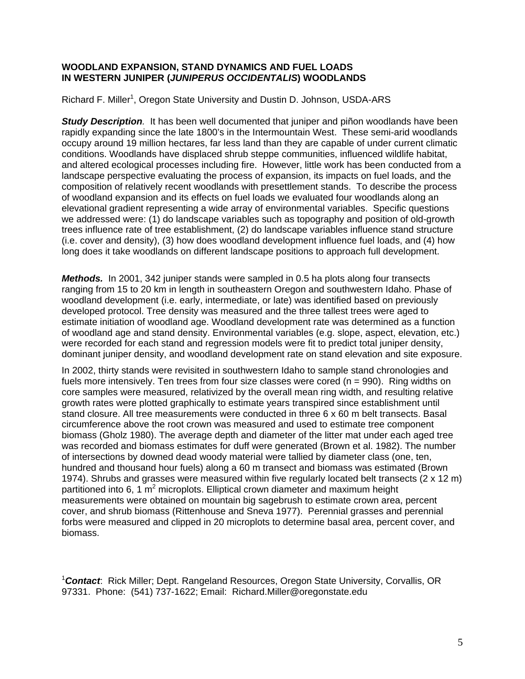#### **WOODLAND EXPANSION, STAND DYNAMICS AND FUEL LOADS IN WESTERN JUNIPER (***JUNIPERUS OCCIDENTALIS***) WOODLANDS**

Richard F. Miller<sup>1</sup>, Oregon State University and Dustin D. Johnson, USDA-ARS

*Study Description.* It has been well documented that juniper and piñon woodlands have been rapidly expanding since the late 1800's in the Intermountain West. These semi-arid woodlands occupy around 19 million hectares, far less land than they are capable of under current climatic conditions. Woodlands have displaced shrub steppe communities, influenced wildlife habitat, and altered ecological processes including fire. However, little work has been conducted from a landscape perspective evaluating the process of expansion, its impacts on fuel loads, and the composition of relatively recent woodlands with presettlement stands. To describe the process of woodland expansion and its effects on fuel loads we evaluated four woodlands along an elevational gradient representing a wide array of environmental variables. Specific questions we addressed were: (1) do landscape variables such as topography and position of old-growth trees influence rate of tree establishment, (2) do landscape variables influence stand structure (i.e. cover and density), (3) how does woodland development influence fuel loads, and (4) how long does it take woodlands on different landscape positions to approach full development.

*Methods.* In 2001, 342 juniper stands were sampled in 0.5 ha plots along four transects ranging from 15 to 20 km in length in southeastern Oregon and southwestern Idaho. Phase of woodland development (i.e. early, intermediate, or late) was identified based on previously developed protocol. Tree density was measured and the three tallest trees were aged to estimate initiation of woodland age. Woodland development rate was determined as a function of woodland age and stand density. Environmental variables (e.g. slope, aspect, elevation, etc.) were recorded for each stand and regression models were fit to predict total juniper density, dominant juniper density, and woodland development rate on stand elevation and site exposure.

In 2002, thirty stands were revisited in southwestern Idaho to sample stand chronologies and fuels more intensively. Ten trees from four size classes were cored ( $n = 990$ ). Ring widths on core samples were measured, relativized by the overall mean ring width, and resulting relative growth rates were plotted graphically to estimate years transpired since establishment until stand closure. All tree measurements were conducted in three 6 x 60 m belt transects. Basal circumference above the root crown was measured and used to estimate tree component biomass (Gholz 1980). The average depth and diameter of the litter mat under each aged tree was recorded and biomass estimates for duff were generated (Brown et al. 1982). The number of intersections by downed dead woody material were tallied by diameter class (one, ten, hundred and thousand hour fuels) along a 60 m transect and biomass was estimated (Brown 1974). Shrubs and grasses were measured within five regularly located belt transects (2 x 12 m) partitioned into 6, 1  $m^2$  microplots. Elliptical crown diameter and maximum height measurements were obtained on mountain big sagebrush to estimate crown area, percent cover, and shrub biomass (Rittenhouse and Sneva 1977). Perennial grasses and perennial forbs were measured and clipped in 20 microplots to determine basal area, percent cover, and biomass.

1 *Contact*: Rick Miller; Dept. Rangeland Resources, Oregon State University, Corvallis, OR 97331. Phone: (541) 737-1622; Email: Richard.Miller@oregonstate.edu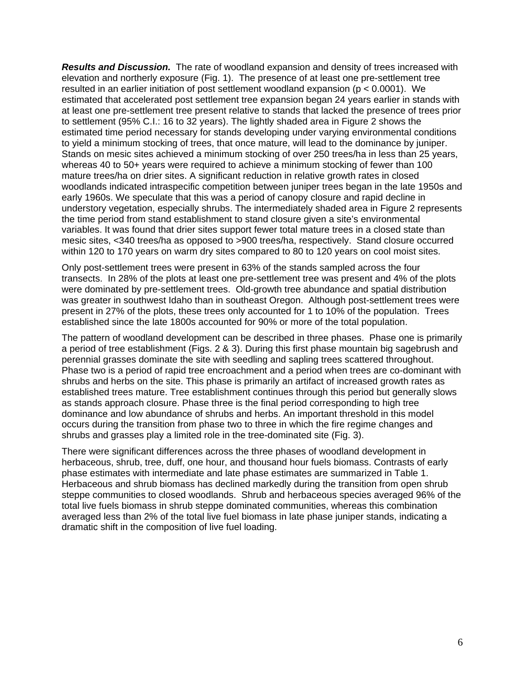*Results and Discussion.* The rate of woodland expansion and density of trees increased with elevation and northerly exposure (Fig. 1). The presence of at least one pre-settlement tree resulted in an earlier initiation of post settlement woodland expansion ( $p < 0.0001$ ). We estimated that accelerated post settlement tree expansion began 24 years earlier in stands with at least one pre-settlement tree present relative to stands that lacked the presence of trees prior to settlement (95% C.I.: 16 to 32 years). The lightly shaded area in Figure 2 shows the estimated time period necessary for stands developing under varying environmental conditions to yield a minimum stocking of trees, that once mature, will lead to the dominance by juniper. Stands on mesic sites achieved a minimum stocking of over 250 trees/ha in less than 25 years, whereas 40 to 50+ years were required to achieve a minimum stocking of fewer than 100 mature trees/ha on drier sites. A significant reduction in relative growth rates in closed woodlands indicated intraspecific competition between juniper trees began in the late 1950s and early 1960s. We speculate that this was a period of canopy closure and rapid decline in understory vegetation, especially shrubs. The intermediately shaded area in Figure 2 represents the time period from stand establishment to stand closure given a site's environmental variables. It was found that drier sites support fewer total mature trees in a closed state than mesic sites, <340 trees/ha as opposed to >900 trees/ha, respectively. Stand closure occurred within 120 to 170 years on warm dry sites compared to 80 to 120 years on cool moist sites.

Only post-settlement trees were present in 63% of the stands sampled across the four transects. In 28% of the plots at least one pre-settlement tree was present and 4% of the plots were dominated by pre-settlement trees. Old-growth tree abundance and spatial distribution was greater in southwest Idaho than in southeast Oregon. Although post-settlement trees were present in 27% of the plots, these trees only accounted for 1 to 10% of the population. Trees established since the late 1800s accounted for 90% or more of the total population.

The pattern of woodland development can be described in three phases. Phase one is primarily a period of tree establishment (Figs. 2 & 3). During this first phase mountain big sagebrush and perennial grasses dominate the site with seedling and sapling trees scattered throughout. Phase two is a period of rapid tree encroachment and a period when trees are co-dominant with shrubs and herbs on the site. This phase is primarily an artifact of increased growth rates as established trees mature. Tree establishment continues through this period but generally slows as stands approach closure. Phase three is the final period corresponding to high tree dominance and low abundance of shrubs and herbs. An important threshold in this model occurs during the transition from phase two to three in which the fire regime changes and shrubs and grasses play a limited role in the tree-dominated site (Fig. 3).

There were significant differences across the three phases of woodland development in herbaceous, shrub, tree, duff, one hour, and thousand hour fuels biomass. Contrasts of early phase estimates with intermediate and late phase estimates are summarized in Table 1. Herbaceous and shrub biomass has declined markedly during the transition from open shrub steppe communities to closed woodlands. Shrub and herbaceous species averaged 96% of the total live fuels biomass in shrub steppe dominated communities, whereas this combination averaged less than 2% of the total live fuel biomass in late phase juniper stands, indicating a dramatic shift in the composition of live fuel loading.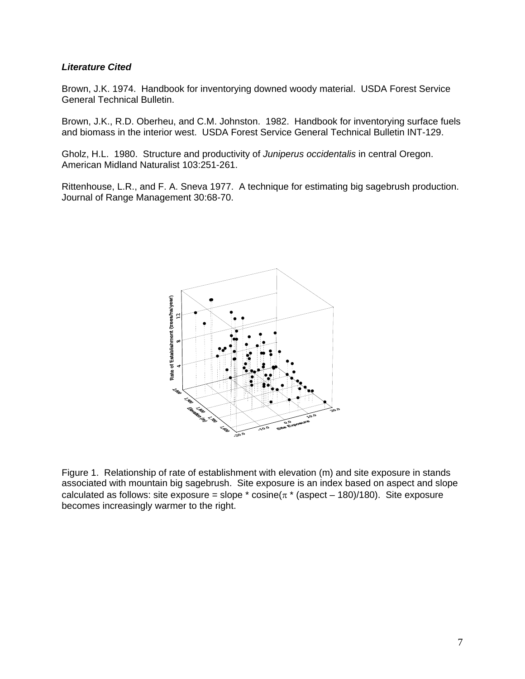#### *Literature Cited*

Brown, J.K. 1974. Handbook for inventorying downed woody material. USDA Forest Service General Technical Bulletin.

Brown, J.K., R.D. Oberheu, and C.M. Johnston. 1982. Handbook for inventorying surface fuels and biomass in the interior west. USDA Forest Service General Technical Bulletin INT-129.

Gholz, H.L. 1980. Structure and productivity of *Juniperus occidentalis* in central Oregon. American Midland Naturalist 103:251-261.

Rittenhouse, L.R., and F. A. Sneva 1977. A technique for estimating big sagebrush production. Journal of Range Management 30:68-70.



Figure 1.Relationship of rate of establishment with elevation (m) and site exposure in stands associated with mountain big sagebrush. Site exposure is an index based on aspect and slope calculated as follows: site exposure = slope  $*$  cosine( $\pi$   $*$  (aspect – 180)/180). Site exposure becomes increasingly warmer to the right.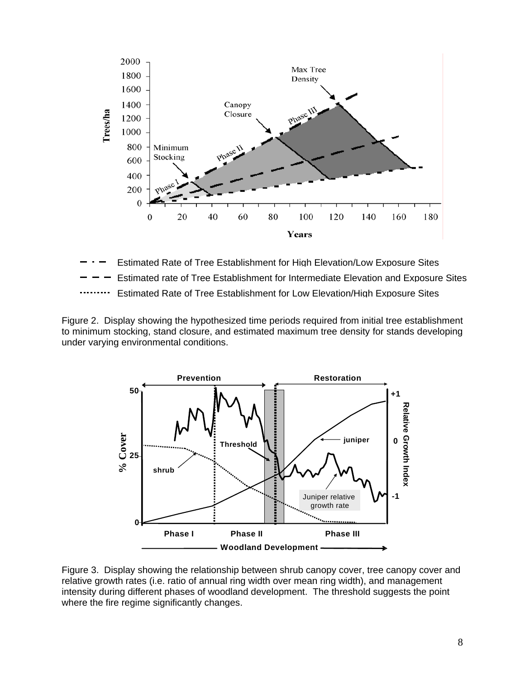

Estimated Rate of Tree Establishment for Low Elevation/High Exposure Sites Estimated rate of Tree Establishment for Intermediate Elevation and Exposure Sites Estimated Rate of Tree Establishment for High Elevation/Low Exposure Sites

Figure 2. Display showing the hypothesized time periods required from initial tree establishment to minimum stocking, stand closure, and estimated maximum tree density for stands developing under varying environmental conditions.



Figure 3. Display showing the relationship between shrub canopy cover, tree canopy cover and relative growth rates (i.e. ratio of annual ring width over mean ring width), and management intensity during different phases of woodland development. The threshold suggests the point where the fire regime significantly changes.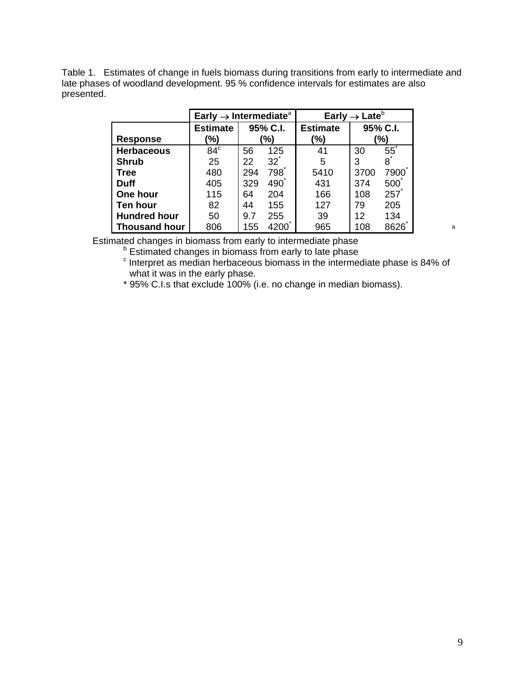Table 1. Estimates of change in fuels biomass during transitions from early to intermediate and late phases of woodland development. 95 % confidence intervals for estimates are also presented.

|                      | Early $\rightarrow$ Intermediate <sup>a</sup> |          |                | Early $\rightarrow$ Late <sup>b</sup> |      |          |  |
|----------------------|-----------------------------------------------|----------|----------------|---------------------------------------|------|----------|--|
|                      | <b>Estimate</b>                               | 95% C.I. |                | <b>Estimate</b>                       |      | 95% C.I. |  |
| <b>Response</b>      | '%)                                           | '%)      |                | (%)                                   |      | (%)      |  |
| <b>Herbaceous</b>    | $84^\circ$                                    | 56       | 125            | 41                                    | 30   | 55       |  |
| <b>Shrub</b>         | 25                                            | 22       | $32^{\degree}$ | 5                                     | 3    | 8        |  |
| <b>Tree</b>          | 480                                           | 294      | 798            | 5410                                  | 3700 | 7900     |  |
| <b>Duff</b>          | 405                                           | 329      | 490            | 431                                   | 374  | 500      |  |
| One hour             | 115                                           | 64       | 204            | 166                                   | 108  | 257      |  |
| <b>Ten hour</b>      | 82                                            | 44       | 155            | 127                                   | 79   | 205      |  |
| <b>Hundred hour</b>  | 50                                            | 9.7      | 255            | 39                                    | 12   | 134      |  |
| <b>Thousand hour</b> | 806                                           | 155      | 4200           | 965                                   | 108  | 8626     |  |

Estimated changes in biomass from early to intermediate phase

<sup>b</sup> Estimated changes in biomass from early to late phase<br><sup>c</sup> Interpret as modian berbessesue biomage in the interpret

 $\degree$  Interpret as median herbaceous biomass in the intermediate phase is 84% of what it was in the early phase.

\* 95% C.I.s that exclude 100% (i.e. no change in median biomass).

a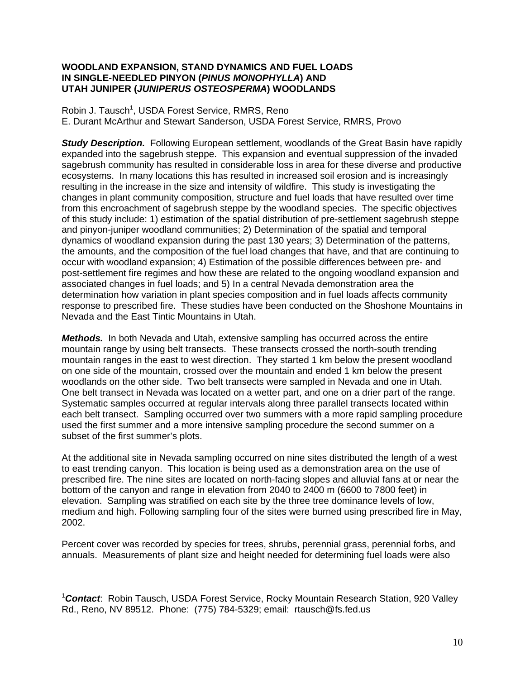#### **WOODLAND EXPANSION, STAND DYNAMICS AND FUEL LOADS IN SINGLE-NEEDLED PINYON (***PINUS MONOPHYLLA***) AND UTAH JUNIPER (***JUNIPERUS OSTEOSPERMA***) WOODLANDS**

Robin J. Tausch<sup>1</sup>, USDA Forest Service, RMRS, Reno E. Durant McArthur and Stewart Sanderson, USDA Forest Service, RMRS, Provo

**Study Description.** Following European settlement, woodlands of the Great Basin have rapidly expanded into the sagebrush steppe. This expansion and eventual suppression of the invaded sagebrush community has resulted in considerable loss in area for these diverse and productive ecosystems. In many locations this has resulted in increased soil erosion and is increasingly resulting in the increase in the size and intensity of wildfire. This study is investigating the changes in plant community composition, structure and fuel loads that have resulted over time from this encroachment of sagebrush steppe by the woodland species. The specific objectives of this study include: 1) estimation of the spatial distribution of pre-settlement sagebrush steppe and pinyon-juniper woodland communities; 2) Determination of the spatial and temporal dynamics of woodland expansion during the past 130 years; 3) Determination of the patterns, the amounts, and the composition of the fuel load changes that have, and that are continuing to occur with woodland expansion; 4) Estimation of the possible differences between pre- and post-settlement fire regimes and how these are related to the ongoing woodland expansion and associated changes in fuel loads; and 5) In a central Nevada demonstration area the determination how variation in plant species composition and in fuel loads affects community response to prescribed fire. These studies have been conducted on the Shoshone Mountains in Nevada and the East Tintic Mountains in Utah.

*Methods.* In both Nevada and Utah, extensive sampling has occurred across the entire mountain range by using belt transects. These transects crossed the north-south trending mountain ranges in the east to west direction. They started 1 km below the present woodland on one side of the mountain, crossed over the mountain and ended 1 km below the present woodlands on the other side. Two belt transects were sampled in Nevada and one in Utah. One belt transect in Nevada was located on a wetter part, and one on a drier part of the range. Systematic samples occurred at regular intervals along three parallel transects located within each belt transect. Sampling occurred over two summers with a more rapid sampling procedure used the first summer and a more intensive sampling procedure the second summer on a subset of the first summer's plots.

At the additional site in Nevada sampling occurred on nine sites distributed the length of a west to east trending canyon. This location is being used as a demonstration area on the use of prescribed fire. The nine sites are located on north-facing slopes and alluvial fans at or near the bottom of the canyon and range in elevation from 2040 to 2400 m (6600 to 7800 feet) in elevation. Sampling was stratified on each site by the three tree dominance levels of low, medium and high. Following sampling four of the sites were burned using prescribed fire in May, 2002.

Percent cover was recorded by species for trees, shrubs, perennial grass, perennial forbs, and annuals. Measurements of plant size and height needed for determining fuel loads were also

1 *Contact*: Robin Tausch, USDA Forest Service, Rocky Mountain Research Station, 920 Valley Rd., Reno, NV 89512. Phone: (775) 784-5329; email: rtausch@fs.fed.us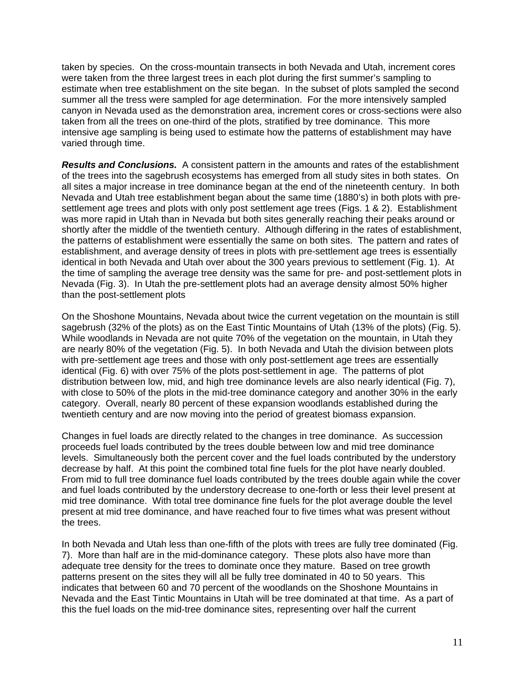taken by species. On the cross-mountain transects in both Nevada and Utah, increment cores were taken from the three largest trees in each plot during the first summer's sampling to estimate when tree establishment on the site began. In the subset of plots sampled the second summer all the tress were sampled for age determination. For the more intensively sampled canyon in Nevada used as the demonstration area, increment cores or cross-sections were also taken from all the trees on one-third of the plots, stratified by tree dominance. This more intensive age sampling is being used to estimate how the patterns of establishment may have varied through time.

*Results and Conclusions.* A consistent pattern in the amounts and rates of the establishment of the trees into the sagebrush ecosystems has emerged from all study sites in both states. On all sites a major increase in tree dominance began at the end of the nineteenth century. In both Nevada and Utah tree establishment began about the same time (1880's) in both plots with presettlement age trees and plots with only post settlement age trees (Figs. 1 & 2). Establishment was more rapid in Utah than in Nevada but both sites generally reaching their peaks around or shortly after the middle of the twentieth century. Although differing in the rates of establishment, the patterns of establishment were essentially the same on both sites. The pattern and rates of establishment, and average density of trees in plots with pre-settlement age trees is essentially identical in both Nevada and Utah over about the 300 years previous to settlement (Fig. 1). At the time of sampling the average tree density was the same for pre- and post-settlement plots in Nevada (Fig. 3). In Utah the pre-settlement plots had an average density almost 50% higher than the post-settlement plots

On the Shoshone Mountains, Nevada about twice the current vegetation on the mountain is still sagebrush (32% of the plots) as on the East Tintic Mountains of Utah (13% of the plots) (Fig. 5). While woodlands in Nevada are not quite 70% of the vegetation on the mountain, in Utah they are nearly 80% of the vegetation (Fig. 5). In both Nevada and Utah the division between plots with pre-settlement age trees and those with only post-settlement age trees are essentially identical (Fig. 6) with over 75% of the plots post-settlement in age. The patterns of plot distribution between low, mid, and high tree dominance levels are also nearly identical (Fig. 7), with close to 50% of the plots in the mid-tree dominance category and another 30% in the early category. Overall, nearly 80 percent of these expansion woodlands established during the twentieth century and are now moving into the period of greatest biomass expansion.

Changes in fuel loads are directly related to the changes in tree dominance. As succession proceeds fuel loads contributed by the trees double between low and mid tree dominance levels. Simultaneously both the percent cover and the fuel loads contributed by the understory decrease by half. At this point the combined total fine fuels for the plot have nearly doubled. From mid to full tree dominance fuel loads contributed by the trees double again while the cover and fuel loads contributed by the understory decrease to one-forth or less their level present at mid tree dominance. With total tree dominance fine fuels for the plot average double the level present at mid tree dominance, and have reached four to five times what was present without the trees.

In both Nevada and Utah less than one-fifth of the plots with trees are fully tree dominated (Fig. 7). More than half are in the mid-dominance category. These plots also have more than adequate tree density for the trees to dominate once they mature. Based on tree growth patterns present on the sites they will all be fully tree dominated in 40 to 50 years. This indicates that between 60 and 70 percent of the woodlands on the Shoshone Mountains in Nevada and the East Tintic Mountains in Utah will be tree dominated at that time. As a part of this the fuel loads on the mid-tree dominance sites, representing over half the current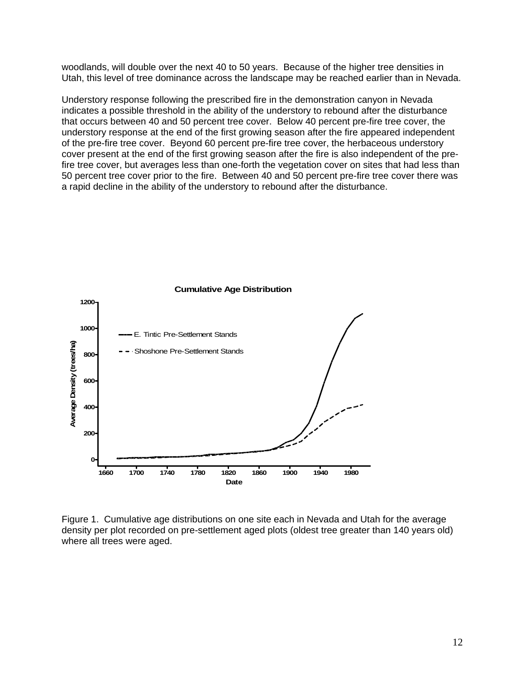woodlands, will double over the next 40 to 50 years. Because of the higher tree densities in Utah, this level of tree dominance across the landscape may be reached earlier than in Nevada.

Understory response following the prescribed fire in the demonstration canyon in Nevada indicates a possible threshold in the ability of the understory to rebound after the disturbance that occurs between 40 and 50 percent tree cover. Below 40 percent pre-fire tree cover, the understory response at the end of the first growing season after the fire appeared independent of the pre-fire tree cover. Beyond 60 percent pre-fire tree cover, the herbaceous understory cover present at the end of the first growing season after the fire is also independent of the prefire tree cover, but averages less than one-forth the vegetation cover on sites that had less than 50 percent tree cover prior to the fire. Between 40 and 50 percent pre-fire tree cover there was a rapid decline in the ability of the understory to rebound after the disturbance.



**Cumulative Age Distribution**

Figure 1. Cumulative age distributions on one site each in Nevada and Utah for the average density per plot recorded on pre-settlement aged plots (oldest tree greater than 140 years old) where all trees were aged.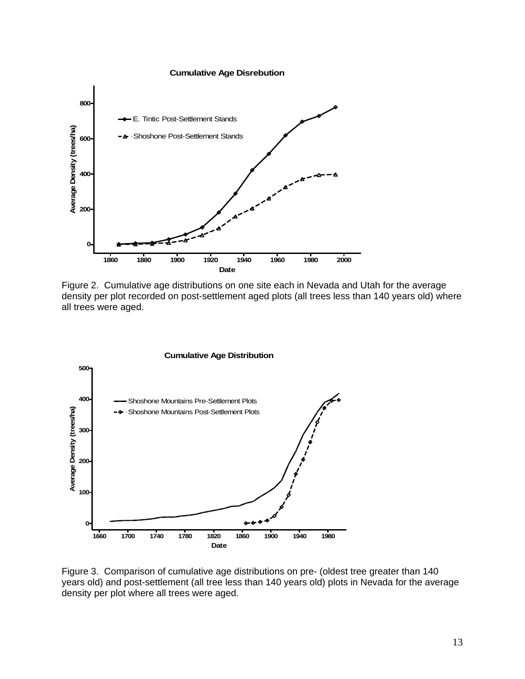**Cumulative Age Disrebution**



Figure 2. Cumulative age distributions on one site each in Nevada and Utah for the average density per plot recorded on post-settlement aged plots (all trees less than 140 years old) where all trees were aged.



Figure 3. Comparison of cumulative age distributions on pre- (oldest tree greater than 140 years old) and post-settlement (all tree less than 140 years old) plots in Nevada for the average density per plot where all trees were aged.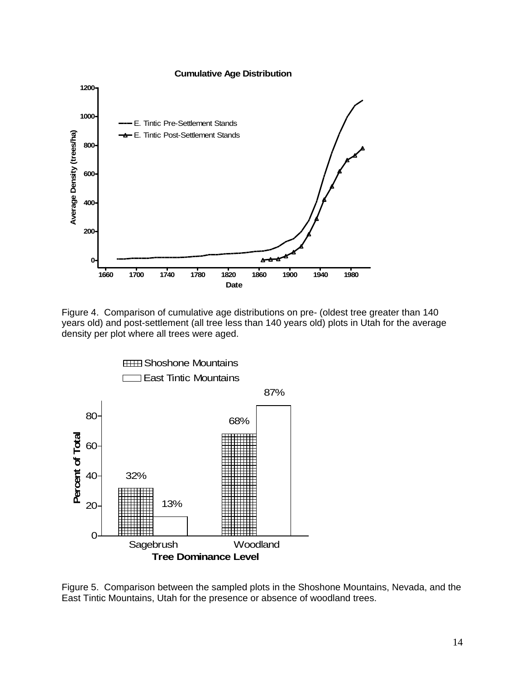#### **Cumulative Age Distribution**



Figure 4. Comparison of cumulative age distributions on pre- (oldest tree greater than 140 years old) and post-settlement (all tree less than 140 years old) plots in Utah for the average density per plot where all trees were aged.



Figure 5. Comparison between the sampled plots in the Shoshone Mountains, Nevada, and the East Tintic Mountains, Utah for the presence or absence of woodland trees.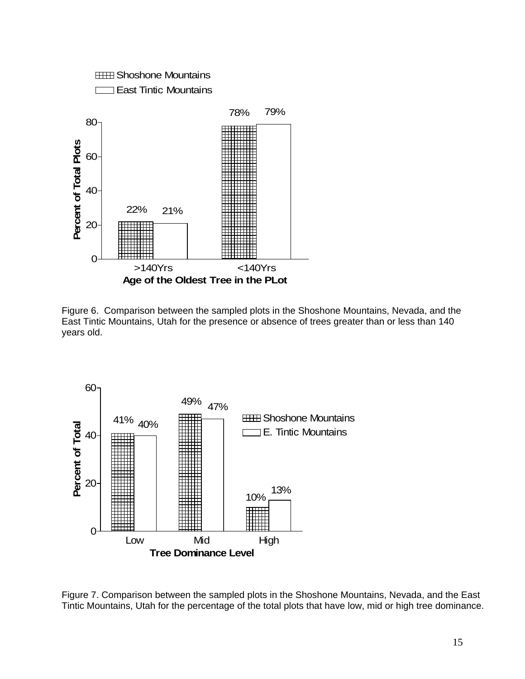

Figure 6. Comparison between the sampled plots in the Shoshone Mountains, Nevada, and the East Tintic Mountains, Utah for the presence or absence of trees greater than or less than 140 years old.



Figure 7. Comparison between the sampled plots in the Shoshone Mountains, Nevada, and the East Tintic Mountains, Utah for the percentage of the total plots that have low, mid or high tree dominance.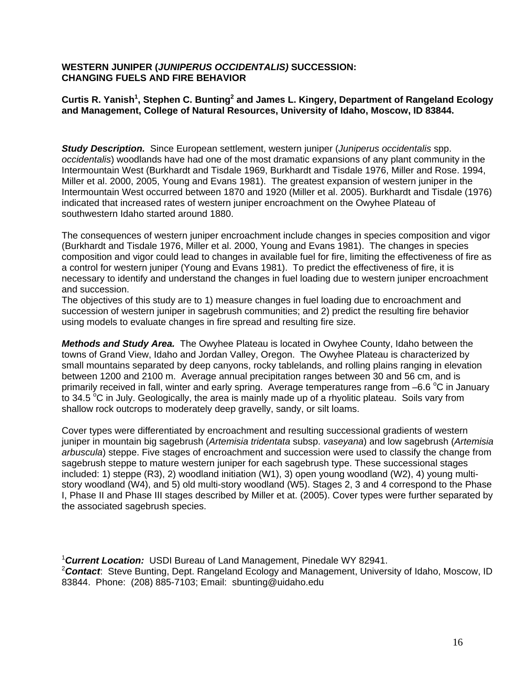#### **WESTERN JUNIPER (***JUNIPERUS OCCIDENTALIS)* **SUCCESSION: CHANGING FUELS AND FIRE BEHAVIOR**

#### **Curtis R. Yanish<sup>1</sup> , Stephen C. Bunting2 and James L. Kingery, Department of Rangeland Ecology and Management, College of Natural Resources, University of Idaho, Moscow, ID 83844.**

*Study Description.* Since European settlement, western juniper (*Juniperus occidentalis* spp. *occidentalis*) woodlands have had one of the most dramatic expansions of any plant community in the Intermountain West (Burkhardt and Tisdale 1969, Burkhardt and Tisdale 1976, Miller and Rose. 1994, Miller et al. 2000, 2005, Young and Evans 1981). The greatest expansion of western juniper in the Intermountain West occurred between 1870 and 1920 (Miller et al. 2005). Burkhardt and Tisdale (1976) indicated that increased rates of western juniper encroachment on the Owyhee Plateau of southwestern Idaho started around 1880.

The consequences of western juniper encroachment include changes in species composition and vigor (Burkhardt and Tisdale 1976, Miller et al. 2000, Young and Evans 1981). The changes in species composition and vigor could lead to changes in available fuel for fire, limiting the effectiveness of fire as a control for western juniper (Young and Evans 1981). To predict the effectiveness of fire, it is necessary to identify and understand the changes in fuel loading due to western juniper encroachment and succession.

The objectives of this study are to 1) measure changes in fuel loading due to encroachment and succession of western juniper in sagebrush communities; and 2) predict the resulting fire behavior using models to evaluate changes in fire spread and resulting fire size.

*Methods and Study Area.* The Owyhee Plateau is located in Owyhee County, Idaho between the towns of Grand View, Idaho and Jordan Valley, Oregon. The Owyhee Plateau is characterized by small mountains separated by deep canyons, rocky tablelands, and rolling plains ranging in elevation between 1200 and 2100 m. Average annual precipitation ranges between 30 and 56 cm, and is primarily received in fall, winter and early spring. Average temperatures range from  $-6.6$  °C in January to 34.5  $\mathrm{^{\circ}C}$  in July. Geologically, the area is mainly made up of a rhyolitic plateau. Soils vary from shallow rock outcrops to moderately deep gravelly, sandy, or silt loams.

Cover types were differentiated by encroachment and resulting successional gradients of western juniper in mountain big sagebrush (*Artemisia tridentata* subsp. *vaseyana*) and low sagebrush (*Artemisia arbuscula*) steppe. Five stages of encroachment and succession were used to classify the change from sagebrush steppe to mature western juniper for each sagebrush type. These successional stages included: 1) steppe (R3), 2) woodland initiation (W1), 3) open young woodland (W2), 4) young multistory woodland (W4), and 5) old multi-story woodland (W5). Stages 2, 3 and 4 correspond to the Phase I, Phase II and Phase III stages described by Miller et at. (2005). Cover types were further separated by the associated sagebrush species.

<sup>1</sup> Current Location: USDI Bureau of Land Management, Pinedale WY 82941. 2 *Contact*: Steve Bunting, Dept. Rangeland Ecology and Management, University of Idaho, Moscow, ID 83844. Phone: (208) 885-7103; Email: sbunting@uidaho.edu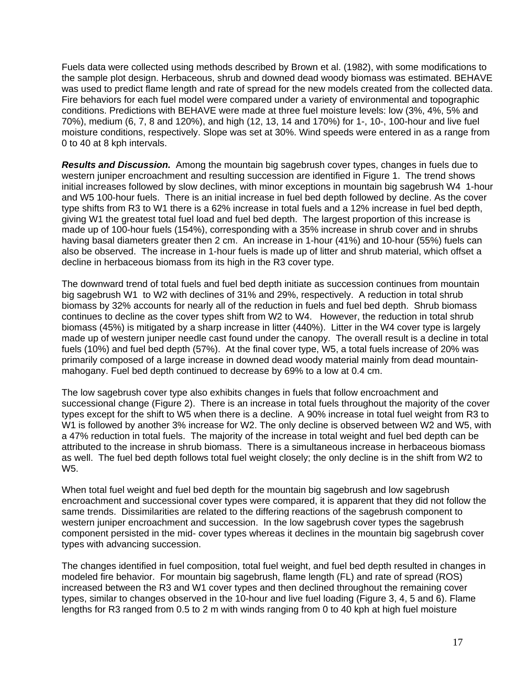Fuels data were collected using methods described by Brown et al. (1982), with some modifications to the sample plot design. Herbaceous, shrub and downed dead woody biomass was estimated. BEHAVE was used to predict flame length and rate of spread for the new models created from the collected data. Fire behaviors for each fuel model were compared under a variety of environmental and topographic conditions. Predictions with BEHAVE were made at three fuel moisture levels: low (3%, 4%, 5% and 70%), medium (6, 7, 8 and 120%), and high (12, 13, 14 and 170%) for 1-, 10-, 100-hour and live fuel moisture conditions, respectively. Slope was set at 30%. Wind speeds were entered in as a range from 0 to 40 at 8 kph intervals.

*Results and Discussion.* Among the mountain big sagebrush cover types, changes in fuels due to western juniper encroachment and resulting succession are identified in Figure 1. The trend shows initial increases followed by slow declines, with minor exceptions in mountain big sagebrush W4 1-hour and W5 100-hour fuels. There is an initial increase in fuel bed depth followed by decline. As the cover type shifts from R3 to W1 there is a 62% increase in total fuels and a 12% increase in fuel bed depth, giving W1 the greatest total fuel load and fuel bed depth. The largest proportion of this increase is made up of 100-hour fuels (154%), corresponding with a 35% increase in shrub cover and in shrubs having basal diameters greater then 2 cm. An increase in 1-hour (41%) and 10-hour (55%) fuels can also be observed. The increase in 1-hour fuels is made up of litter and shrub material, which offset a decline in herbaceous biomass from its high in the R3 cover type.

The downward trend of total fuels and fuel bed depth initiate as succession continues from mountain big sagebrush W1 to W2 with declines of 31% and 29%, respectively. A reduction in total shrub biomass by 32% accounts for nearly all of the reduction in fuels and fuel bed depth. Shrub biomass continues to decline as the cover types shift from W2 to W4. However, the reduction in total shrub biomass (45%) is mitigated by a sharp increase in litter (440%). Litter in the W4 cover type is largely made up of western juniper needle cast found under the canopy. The overall result is a decline in total fuels (10%) and fuel bed depth (57%). At the final cover type, W5, a total fuels increase of 20% was primarily composed of a large increase in downed dead woody material mainly from dead mountainmahogany. Fuel bed depth continued to decrease by 69% to a low at 0.4 cm.

The low sagebrush cover type also exhibits changes in fuels that follow encroachment and successional change (Figure 2). There is an increase in total fuels throughout the majority of the cover types except for the shift to W5 when there is a decline. A 90% increase in total fuel weight from R3 to W1 is followed by another 3% increase for W2. The only decline is observed between W2 and W5, with a 47% reduction in total fuels. The majority of the increase in total weight and fuel bed depth can be attributed to the increase in shrub biomass. There is a simultaneous increase in herbaceous biomass as well. The fuel bed depth follows total fuel weight closely; the only decline is in the shift from W2 to W5.

When total fuel weight and fuel bed depth for the mountain big sagebrush and low sagebrush encroachment and successional cover types were compared, it is apparent that they did not follow the same trends. Dissimilarities are related to the differing reactions of the sagebrush component to western juniper encroachment and succession. In the low sagebrush cover types the sagebrush component persisted in the mid- cover types whereas it declines in the mountain big sagebrush cover types with advancing succession.

The changes identified in fuel composition, total fuel weight, and fuel bed depth resulted in changes in modeled fire behavior. For mountain big sagebrush, flame length (FL) and rate of spread (ROS) increased between the R3 and W1 cover types and then declined throughout the remaining cover types, similar to changes observed in the 10-hour and live fuel loading (Figure 3, 4, 5 and 6). Flame lengths for R3 ranged from 0.5 to 2 m with winds ranging from 0 to 40 kph at high fuel moisture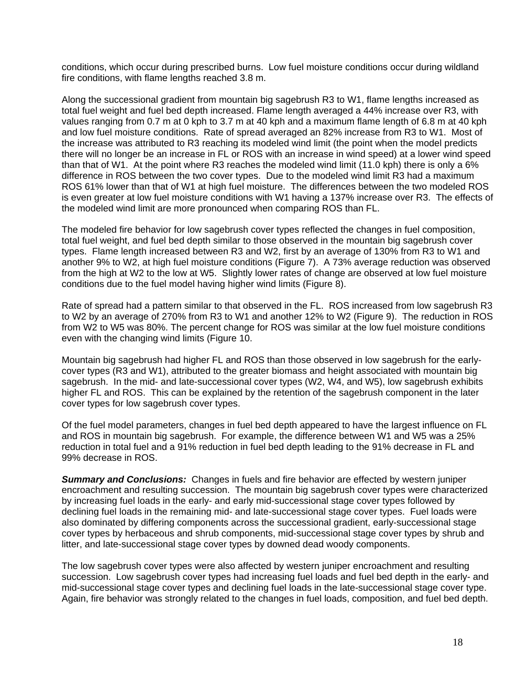conditions, which occur during prescribed burns. Low fuel moisture conditions occur during wildland fire conditions, with flame lengths reached 3.8 m.

Along the successional gradient from mountain big sagebrush R3 to W1, flame lengths increased as total fuel weight and fuel bed depth increased. Flame length averaged a 44% increase over R3, with values ranging from 0.7 m at 0 kph to 3.7 m at 40 kph and a maximum flame length of 6.8 m at 40 kph and low fuel moisture conditions. Rate of spread averaged an 82% increase from R3 to W1. Most of the increase was attributed to R3 reaching its modeled wind limit (the point when the model predicts there will no longer be an increase in FL or ROS with an increase in wind speed) at a lower wind speed than that of W1. At the point where R3 reaches the modeled wind limit (11.0 kph) there is only a 6% difference in ROS between the two cover types. Due to the modeled wind limit R3 had a maximum ROS 61% lower than that of W1 at high fuel moisture. The differences between the two modeled ROS is even greater at low fuel moisture conditions with W1 having a 137% increase over R3. The effects of the modeled wind limit are more pronounced when comparing ROS than FL.

The modeled fire behavior for low sagebrush cover types reflected the changes in fuel composition, total fuel weight, and fuel bed depth similar to those observed in the mountain big sagebrush cover types. Flame length increased between R3 and W2, first by an average of 130% from R3 to W1 and another 9% to W2, at high fuel moisture conditions (Figure 7). A 73% average reduction was observed from the high at W2 to the low at W5. Slightly lower rates of change are observed at low fuel moisture conditions due to the fuel model having higher wind limits (Figure 8).

Rate of spread had a pattern similar to that observed in the FL. ROS increased from low sagebrush R3 to W2 by an average of 270% from R3 to W1 and another 12% to W2 (Figure 9). The reduction in ROS from W2 to W5 was 80%. The percent change for ROS was similar at the low fuel moisture conditions even with the changing wind limits (Figure 10.

Mountain big sagebrush had higher FL and ROS than those observed in low sagebrush for the earlycover types (R3 and W1), attributed to the greater biomass and height associated with mountain big sagebrush. In the mid- and late-successional cover types (W2, W4, and W5), low sagebrush exhibits higher FL and ROS. This can be explained by the retention of the sagebrush component in the later cover types for low sagebrush cover types.

Of the fuel model parameters, changes in fuel bed depth appeared to have the largest influence on FL and ROS in mountain big sagebrush. For example, the difference between W1 and W5 was a 25% reduction in total fuel and a 91% reduction in fuel bed depth leading to the 91% decrease in FL and 99% decrease in ROS.

*Summary and Conclusions:* Changes in fuels and fire behavior are effected by western juniper encroachment and resulting succession. The mountain big sagebrush cover types were characterized by increasing fuel loads in the early- and early mid-successional stage cover types followed by declining fuel loads in the remaining mid- and late-successional stage cover types. Fuel loads were also dominated by differing components across the successional gradient, early-successional stage cover types by herbaceous and shrub components, mid-successional stage cover types by shrub and litter, and late-successional stage cover types by downed dead woody components.

The low sagebrush cover types were also affected by western juniper encroachment and resulting succession. Low sagebrush cover types had increasing fuel loads and fuel bed depth in the early- and mid-successional stage cover types and declining fuel loads in the late-successional stage cover type. Again, fire behavior was strongly related to the changes in fuel loads, composition, and fuel bed depth.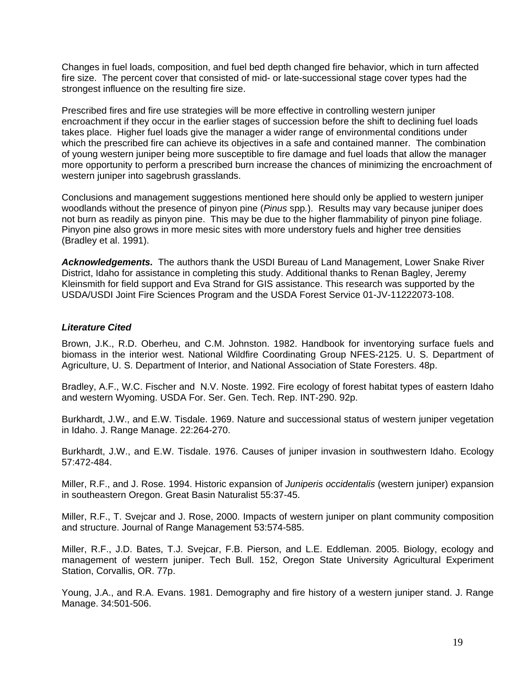Changes in fuel loads, composition, and fuel bed depth changed fire behavior, which in turn affected fire size. The percent cover that consisted of mid- or late-successional stage cover types had the strongest influence on the resulting fire size.

Prescribed fires and fire use strategies will be more effective in controlling western juniper encroachment if they occur in the earlier stages of succession before the shift to declining fuel loads takes place. Higher fuel loads give the manager a wider range of environmental conditions under which the prescribed fire can achieve its objectives in a safe and contained manner. The combination of young western juniper being more susceptible to fire damage and fuel loads that allow the manager more opportunity to perform a prescribed burn increase the chances of minimizing the encroachment of western juniper into sagebrush grasslands.

Conclusions and management suggestions mentioned here should only be applied to western juniper woodlands without the presence of pinyon pine (*Pinus* spp*.*). Results may vary because juniper does not burn as readily as pinyon pine. This may be due to the higher flammability of pinyon pine foliage. Pinyon pine also grows in more mesic sites with more understory fuels and higher tree densities (Bradley et al. 1991).

*Acknowledgements.* The authors thank the USDI Bureau of Land Management, Lower Snake River District, Idaho for assistance in completing this study. Additional thanks to Renan Bagley, Jeremy Kleinsmith for field support and Eva Strand for GIS assistance. This research was supported by the USDA/USDI Joint Fire Sciences Program and the USDA Forest Service 01-JV-11222073-108.

#### *Literature Cited*

Brown, J.K., R.D. Oberheu, and C.M. Johnston. 1982. Handbook for inventorying surface fuels and biomass in the interior west. National Wildfire Coordinating Group NFES-2125. U. S. Department of Agriculture, U. S. Department of Interior, and National Association of State Foresters. 48p.

Bradley, A.F., W.C. Fischer and N.V. Noste. 1992. Fire ecology of forest habitat types of eastern Idaho and western Wyoming. USDA For. Ser. Gen. Tech. Rep. INT-290. 92p.

Burkhardt, J.W., and E.W. Tisdale. 1969. Nature and successional status of western juniper vegetation in Idaho. J. Range Manage. 22:264-270.

Burkhardt, J.W., and E.W. Tisdale. 1976. Causes of juniper invasion in southwestern Idaho. Ecology 57:472-484.

Miller, R.F., and J. Rose. 1994. Historic expansion of *Juniperis occidentalis* (western juniper) expansion in southeastern Oregon. Great Basin Naturalist 55:37-45.

Miller, R.F., T. Svejcar and J. Rose, 2000. Impacts of western juniper on plant community composition and structure. Journal of Range Management 53:574-585.

Miller, R.F., J.D. Bates, T.J. Svejcar, F.B. Pierson, and L.E. Eddleman. 2005. Biology, ecology and management of western juniper. Tech Bull. 152, Oregon State University Agricultural Experiment Station, Corvallis, OR. 77p.

Young, J.A., and R.A. Evans. 1981. Demography and fire history of a western juniper stand. J. Range Manage. 34:501-506.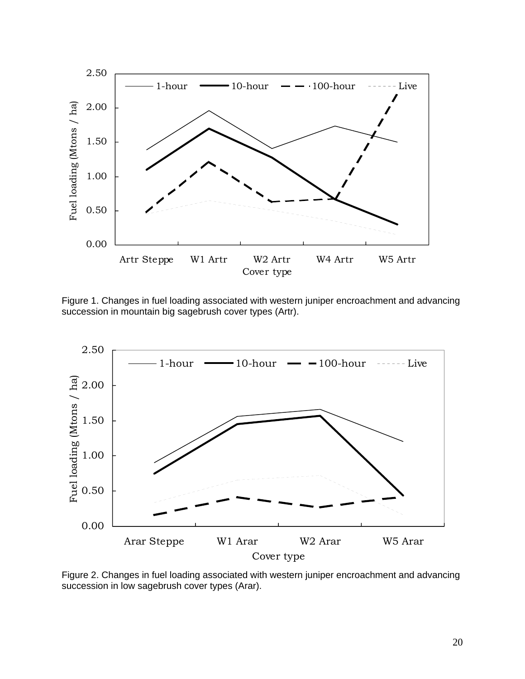

Figure 1. Changes in fuel loading associated with western juniper encroachment and advancing succession in mountain big sagebrush cover types (Artr).



Figure 2. Changes in fuel loading associated with western juniper encroachment and advancing succession in low sagebrush cover types (Arar).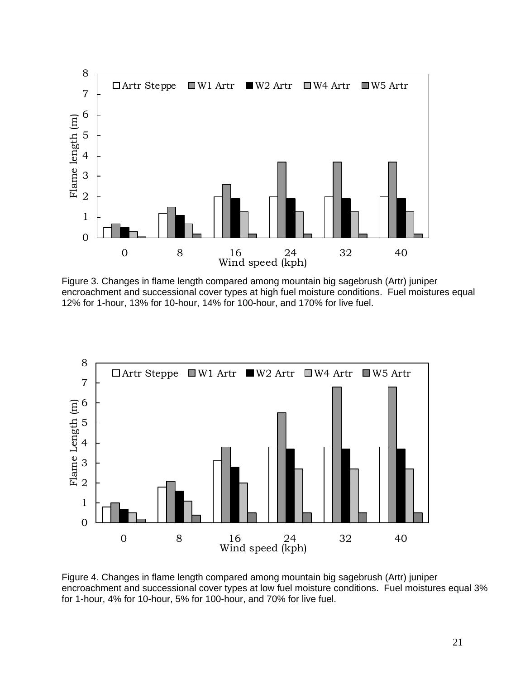

Figure 3. Changes in flame length compared among mountain big sagebrush (Artr) juniper encroachment and successional cover types at high fuel moisture conditions. Fuel moistures equal 12% for 1-hour, 13% for 10-hour, 14% for 100-hour, and 170% for live fuel.



Figure 4. Changes in flame length compared among mountain big sagebrush (Artr) juniper encroachment and successional cover types at low fuel moisture conditions. Fuel moistures equal 3% for 1-hour, 4% for 10-hour, 5% for 100-hour, and 70% for live fuel.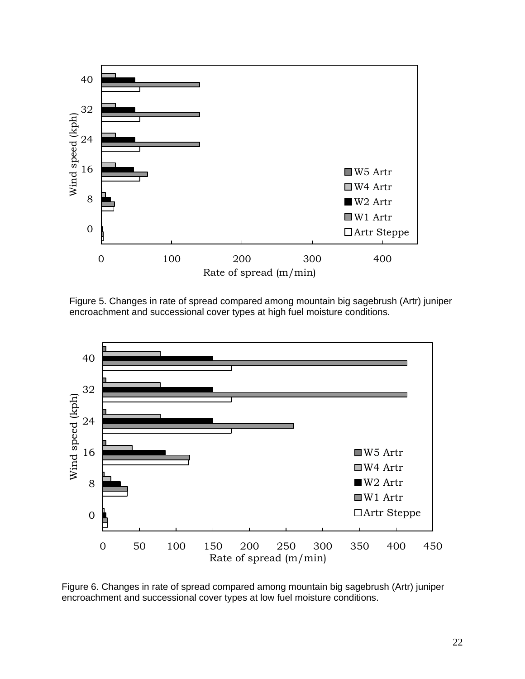

Figure 5. Changes in rate of spread compared among mountain big sagebrush (Artr) juniper encroachment and successional cover types at high fuel moisture conditions.



Figure 6. Changes in rate of spread compared among mountain big sagebrush (Artr) juniper encroachment and successional cover types at low fuel moisture conditions.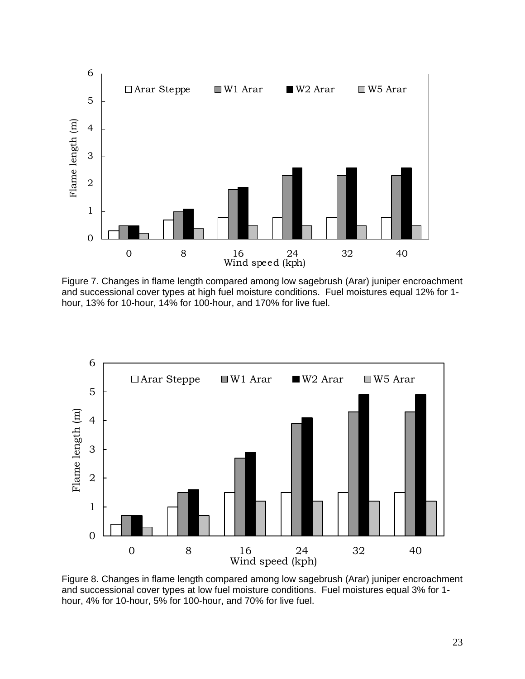

Figure 7. Changes in flame length compared among low sagebrush (Arar) juniper encroachment and successional cover types at high fuel moisture conditions. Fuel moistures equal 12% for 1 hour, 13% for 10-hour, 14% for 100-hour, and 170% for live fuel.



Figure 8. Changes in flame length compared among low sagebrush (Arar) juniper encroachment and successional cover types at low fuel moisture conditions. Fuel moistures equal 3% for 1 hour, 4% for 10-hour, 5% for 100-hour, and 70% for live fuel.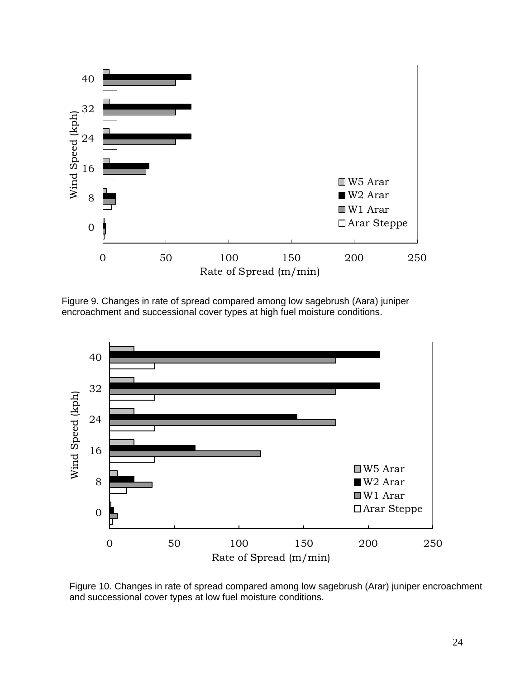

Figure 9. Changes in rate of spread compared among low sagebrush (Aara) juniper encroachment and successional cover types at high fuel moisture conditions.



Figure 10. Changes in rate of spread compared among low sagebrush (Arar) juniper encroachment and successional cover types at low fuel moisture conditions.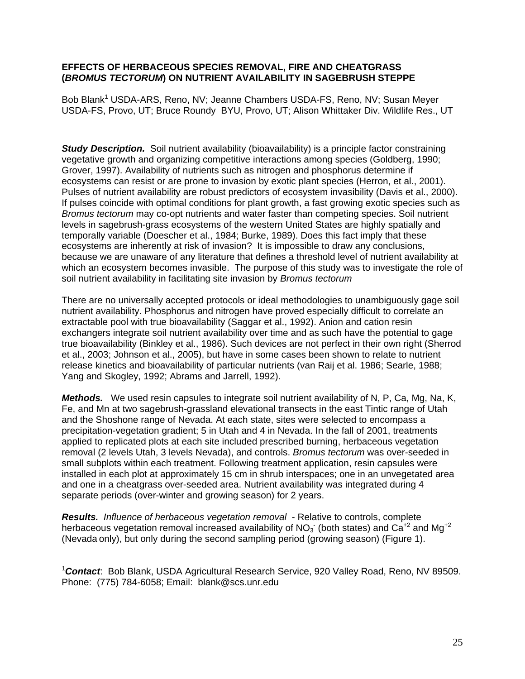#### **EFFECTS OF HERBACEOUS SPECIES REMOVAL, FIRE AND CHEATGRASS (***BROMUS TECTORUM***) ON NUTRIENT AVAILABILITY IN SAGEBRUSH STEPPE**

Bob Blank<sup>1</sup> USDA-ARS, Reno, NV; Jeanne Chambers USDA-FS, Reno, NV; Susan Meyer USDA-FS, Provo, UT; Bruce Roundy BYU, Provo, UT; Alison Whittaker Div. Wildlife Res., UT

**Study Description.** Soil nutrient availability (bioavailability) is a principle factor constraining vegetative growth and organizing competitive interactions among species (Goldberg, 1990; Grover, 1997). Availability of nutrients such as nitrogen and phosphorus determine if ecosystems can resist or are prone to invasion by exotic plant species (Herron, et al., 2001). Pulses of nutrient availability are robust predictors of ecosystem invasibility (Davis et al., 2000). If pulses coincide with optimal conditions for plant growth, a fast growing exotic species such as *Bromus tectorum* may co-opt nutrients and water faster than competing species. Soil nutrient levels in sagebrush-grass ecosystems of the western United States are highly spatially and temporally variable (Doescher et al., 1984; Burke, 1989). Does this fact imply that these ecosystems are inherently at risk of invasion? It is impossible to draw any conclusions, because we are unaware of any literature that defines a threshold level of nutrient availability at which an ecosystem becomes invasible. The purpose of this study was to investigate the role of soil nutrient availability in facilitating site invasion by *Bromus tectorum*

There are no universally accepted protocols or ideal methodologies to unambiguously gage soil nutrient availability. Phosphorus and nitrogen have proved especially difficult to correlate an extractable pool with true bioavailability (Saggar et al., 1992). Anion and cation resin exchangers integrate soil nutrient availability over time and as such have the potential to gage true bioavailability (Binkley et al., 1986). Such devices are not perfect in their own right (Sherrod et al., 2003; Johnson et al., 2005), but have in some cases been shown to relate to nutrient release kinetics and bioavailability of particular nutrients (van Raij et al. 1986; Searle, 1988; Yang and Skogley, 1992; Abrams and Jarrell, 1992).

*Methods.* We used resin capsules to integrate soil nutrient availability of N, P, Ca, Mg, Na, K, Fe, and Mn at two sagebrush-grassland elevational transects in the east Tintic range of Utah and the Shoshone range of Nevada. At each state, sites were selected to encompass a precipitation-vegetation gradient; 5 in Utah and 4 in Nevada. In the fall of 2001, treatments applied to replicated plots at each site included prescribed burning, herbaceous vegetation removal (2 levels Utah, 3 levels Nevada), and controls. *Bromus tectorum* was over-seeded in small subplots within each treatment. Following treatment application, resin capsules were installed in each plot at approximately 15 cm in shrub interspaces; one in an unvegetated area and one in a cheatgrass over-seeded area. Nutrient availability was integrated during 4 separate periods (over-winter and growing season) for 2 years.

*Results. Influence of herbaceous vegetation removal* - Relative to controls, complete herbaceous vegetation removal increased availability of NO<sub>3</sub> (both states) and Ca<sup>+2</sup> and Mg<sup>+2</sup> (Nevada only), but only during the second sampling period (growing season) (Figure 1).

1 *Contact*: Bob Blank, USDA Agricultural Research Service, 920 Valley Road, Reno, NV 89509. Phone: (775) 784-6058; Email: blank@scs.unr.edu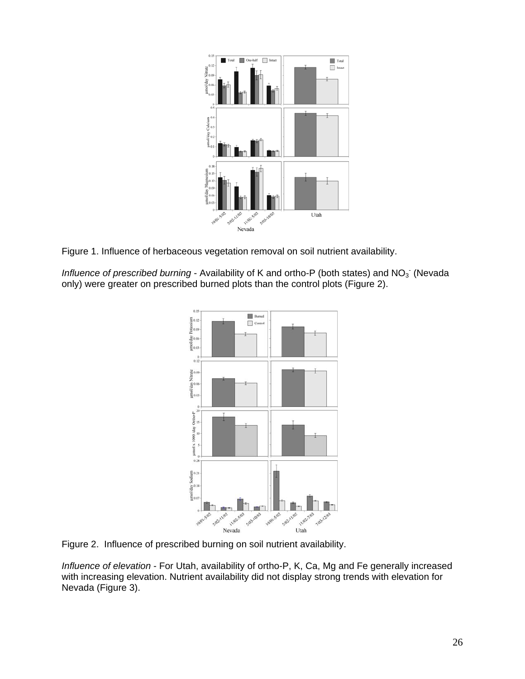

Figure 1. Influence of herbaceous vegetation removal on soil nutrient availability.

Influence of prescribed burning - Availability of K and ortho-P (both states) and NO<sub>3</sub> (Nevada only) were greater on prescribed burned plots than the control plots (Figure 2).



Figure 2. Influence of prescribed burning on soil nutrient availability.

*Influence of elevation* - For Utah, availability of ortho-P, K, Ca, Mg and Fe generally increased with increasing elevation. Nutrient availability did not display strong trends with elevation for Nevada (Figure 3).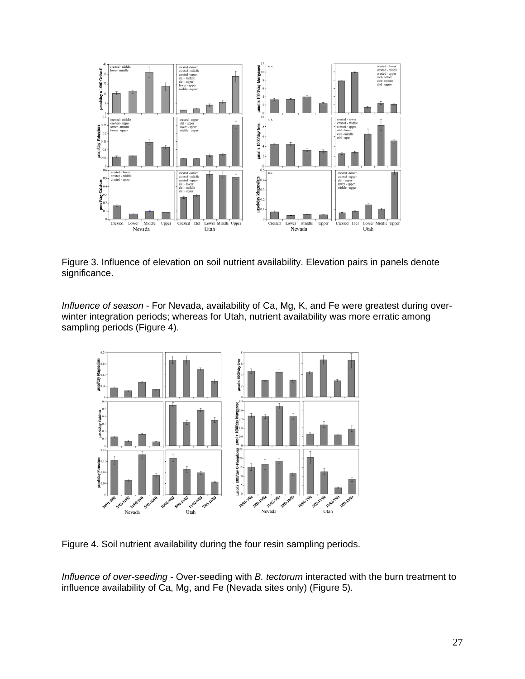

Figure 3. Influence of elevation on soil nutrient availability. Elevation pairs in panels denote significance.

*Influence of season* - For Nevada, availability of Ca, Mg, K, and Fe were greatest during overwinter integration periods; whereas for Utah, nutrient availability was more erratic among sampling periods (Figure 4).



Figure 4. Soil nutrient availability during the four resin sampling periods.

*Influence of over-seeding* - Over-seeding with *B. tectorum* interacted with the burn treatment to influence availability of Ca, Mg, and Fe (Nevada sites only) (Figure 5)*.*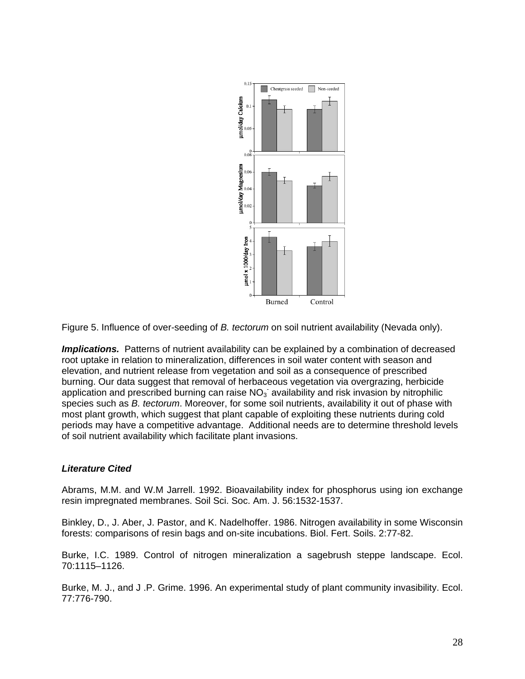

Figure 5. Influence of over-seeding of *B. tectorum* on soil nutrient availability (Nevada only).

**Implications.** Patterns of nutrient availability can be explained by a combination of decreased root uptake in relation to mineralization, differences in soil water content with season and elevation, and nutrient release from vegetation and soil as a consequence of prescribed burning. Our data suggest that removal of herbaceous vegetation via overgrazing, herbicide application and prescribed burning can raise  $NO<sub>3</sub>$  availability and risk invasion by nitrophilic species such as *B. tectorum*. Moreover, for some soil nutrients, availability it out of phase with most plant growth, which suggest that plant capable of exploiting these nutrients during cold periods may have a competitive advantage. Additional needs are to determine threshold levels of soil nutrient availability which facilitate plant invasions.

#### *Literature Cited*

Abrams, M.M. and W.M Jarrell. 1992. Bioavailability index for phosphorus using ion exchange resin impregnated membranes. Soil Sci. Soc. Am. J. 56:1532-1537.

Binkley, D., J. Aber, J. Pastor, and K. Nadelhoffer. 1986. Nitrogen availability in some Wisconsin forests: comparisons of resin bags and on-site incubations. Biol. Fert. Soils. 2:77-82.

Burke, I.C. 1989. Control of nitrogen mineralization a sagebrush steppe landscape. Ecol. 70:1115–1126.

Burke, M. J., and J .P. Grime. 1996. An experimental study of plant community invasibility. Ecol. 77:776-790.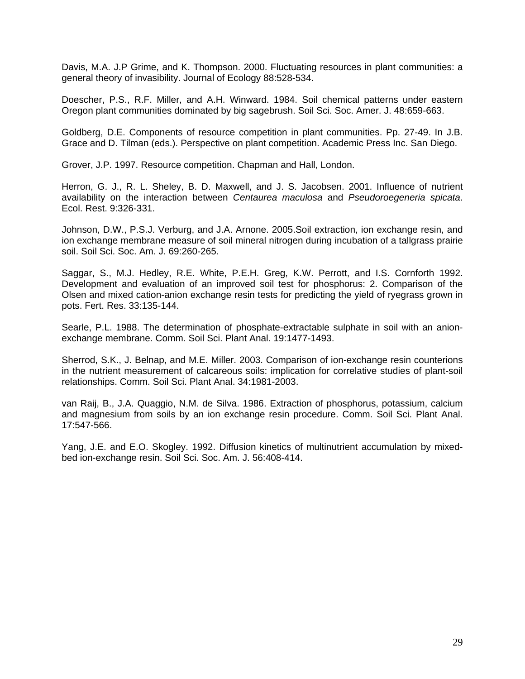Davis, M.A. J.P Grime, and K. Thompson. 2000. Fluctuating resources in plant communities: a general theory of invasibility. Journal of Ecology 88:528-534.

Doescher, P.S., R.F. Miller, and A.H. Winward. 1984. Soil chemical patterns under eastern Oregon plant communities dominated by big sagebrush. Soil Sci. Soc. Amer. J. 48:659-663.

Goldberg, D.E. Components of resource competition in plant communities. Pp. 27-49. In J.B. Grace and D. Tilman (eds.). Perspective on plant competition. Academic Press Inc. San Diego.

Grover, J.P. 1997. Resource competition. Chapman and Hall, London.

Herron, G. J., R. L. Sheley, B. D. Maxwell, and J. S. Jacobsen. 2001. Influence of nutrient availability on the interaction between *Centaurea maculosa* and *Pseudoroegeneria spicata*. Ecol. Rest. 9:326-331.

Johnson, D.W., P.S.J. Verburg, and J.A. Arnone. 2005.Soil extraction, ion exchange resin, and ion exchange membrane measure of soil mineral nitrogen during incubation of a tallgrass prairie soil. Soil Sci. Soc. Am. J. 69:260-265.

Saggar, S., M.J. Hedley, R.E. White, P.E.H. Greg, K.W. Perrott, and I.S. Cornforth 1992. Development and evaluation of an improved soil test for phosphorus: 2. Comparison of the Olsen and mixed cation-anion exchange resin tests for predicting the yield of ryegrass grown in pots. Fert. Res. 33:135-144.

Searle, P.L. 1988. The determination of phosphate-extractable sulphate in soil with an anionexchange membrane. Comm. Soil Sci. Plant Anal. 19:1477-1493.

Sherrod, S.K., J. Belnap, and M.E. Miller. 2003. Comparison of ion-exchange resin counterions in the nutrient measurement of calcareous soils: implication for correlative studies of plant-soil relationships. Comm. Soil Sci. Plant Anal. 34:1981-2003.

van Raij, B., J.A. Quaggio, N.M. de Silva. 1986. Extraction of phosphorus, potassium, calcium and magnesium from soils by an ion exchange resin procedure. Comm. Soil Sci. Plant Anal. 17:547-566.

Yang, J.E. and E.O. Skogley. 1992. Diffusion kinetics of multinutrient accumulation by mixedbed ion-exchange resin. Soil Sci. Soc. Am. J. 56:408-414.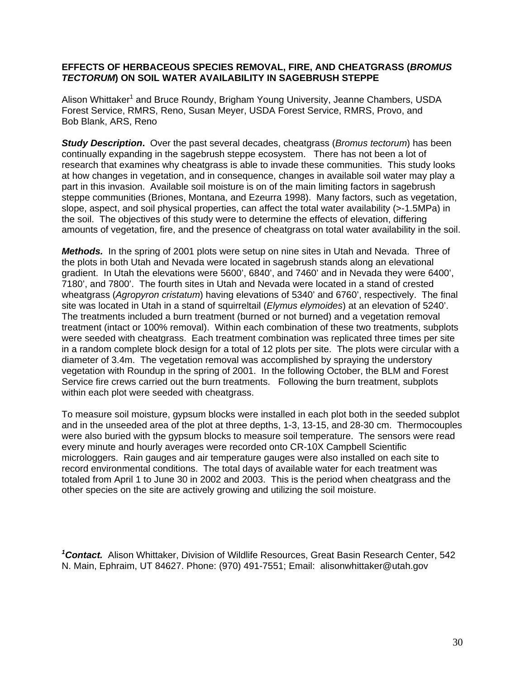#### **EFFECTS OF HERBACEOUS SPECIES REMOVAL, FIRE, AND CHEATGRASS (***BROMUS TECTORUM***) ON SOIL WATER AVAILABILITY IN SAGEBRUSH STEPPE**

Alison Whittaker<sup>1</sup> and Bruce Roundy, Brigham Young University, Jeanne Chambers, USDA Forest Service, RMRS, Reno, Susan Meyer, USDA Forest Service, RMRS, Provo, and Bob Blank, ARS, Reno

*Study Description***.** Over the past several decades, cheatgrass (*Bromus tectorum*) has been continually expanding in the sagebrush steppe ecosystem. There has not been a lot of research that examines why cheatgrass is able to invade these communities. This study looks at how changes in vegetation, and in consequence, changes in available soil water may play a part in this invasion. Available soil moisture is on of the main limiting factors in sagebrush steppe communities (Briones, Montana, and Ezeurra 1998). Many factors, such as vegetation, slope, aspect, and soil physical properties, can affect the total water availability (>-1.5MPa) in the soil. The objectives of this study were to determine the effects of elevation, differing amounts of vegetation, fire, and the presence of cheatgrass on total water availability in the soil.

*Methods.* In the spring of 2001 plots were setup on nine sites in Utah and Nevada. Three of the plots in both Utah and Nevada were located in sagebrush stands along an elevational gradient. In Utah the elevations were 5600', 6840', and 7460' and in Nevada they were 6400', 7180', and 7800'. The fourth sites in Utah and Nevada were located in a stand of crested wheatgrass (*Agropyron cristatum*) having elevations of 5340' and 6760', respectively. The final site was located in Utah in a stand of squirreltail (*Elymus elymoides*) at an elevation of 5240'. The treatments included a burn treatment (burned or not burned) and a vegetation removal treatment (intact or 100% removal). Within each combination of these two treatments, subplots were seeded with cheatgrass. Each treatment combination was replicated three times per site in a random complete block design for a total of 12 plots per site. The plots were circular with a diameter of 3.4m. The vegetation removal was accomplished by spraying the understory vegetation with Roundup in the spring of 2001. In the following October, the BLM and Forest Service fire crews carried out the burn treatments. Following the burn treatment, subplots within each plot were seeded with cheatgrass.

To measure soil moisture, gypsum blocks were installed in each plot both in the seeded subplot and in the unseeded area of the plot at three depths, 1-3, 13-15, and 28-30 cm. Thermocouples were also buried with the gypsum blocks to measure soil temperature. The sensors were read every minute and hourly averages were recorded onto CR-10X Campbell Scientific microloggers. Rain gauges and air temperature gauges were also installed on each site to record environmental conditions. The total days of available water for each treatment was totaled from April 1 to June 30 in 2002 and 2003. This is the period when cheatgrass and the other species on the site are actively growing and utilizing the soil moisture.

*1 Contact.* Alison Whittaker, Division of Wildlife Resources, Great Basin Research Center, 542 N. Main, Ephraim, UT 84627. Phone: (970) 491-7551; Email: alisonwhittaker@utah.gov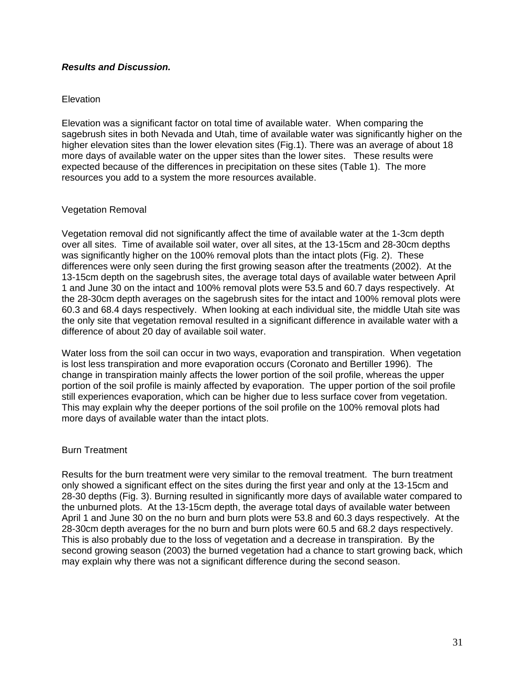#### *Results and Discussion.*

#### **Elevation**

Elevation was a significant factor on total time of available water. When comparing the sagebrush sites in both Nevada and Utah, time of available water was significantly higher on the higher elevation sites than the lower elevation sites (Fig.1). There was an average of about 18 more days of available water on the upper sites than the lower sites. These results were expected because of the differences in precipitation on these sites (Table 1). The more resources you add to a system the more resources available.

#### Vegetation Removal

Vegetation removal did not significantly affect the time of available water at the 1-3cm depth over all sites. Time of available soil water, over all sites, at the 13-15cm and 28-30cm depths was significantly higher on the 100% removal plots than the intact plots (Fig. 2). These differences were only seen during the first growing season after the treatments (2002). At the 13-15cm depth on the sagebrush sites, the average total days of available water between April 1 and June 30 on the intact and 100% removal plots were 53.5 and 60.7 days respectively. At the 28-30cm depth averages on the sagebrush sites for the intact and 100% removal plots were 60.3 and 68.4 days respectively. When looking at each individual site, the middle Utah site was the only site that vegetation removal resulted in a significant difference in available water with a difference of about 20 day of available soil water.

Water loss from the soil can occur in two ways, evaporation and transpiration. When vegetation is lost less transpiration and more evaporation occurs (Coronato and Bertiller 1996). The change in transpiration mainly affects the lower portion of the soil profile, whereas the upper portion of the soil profile is mainly affected by evaporation. The upper portion of the soil profile still experiences evaporation, which can be higher due to less surface cover from vegetation. This may explain why the deeper portions of the soil profile on the 100% removal plots had more days of available water than the intact plots.

#### Burn Treatment

Results for the burn treatment were very similar to the removal treatment. The burn treatment only showed a significant effect on the sites during the first year and only at the 13-15cm and 28-30 depths (Fig. 3). Burning resulted in significantly more days of available water compared to the unburned plots. At the 13-15cm depth, the average total days of available water between April 1 and June 30 on the no burn and burn plots were 53.8 and 60.3 days respectively. At the 28-30cm depth averages for the no burn and burn plots were 60.5 and 68.2 days respectively. This is also probably due to the loss of vegetation and a decrease in transpiration. By the second growing season (2003) the burned vegetation had a chance to start growing back, which may explain why there was not a significant difference during the second season.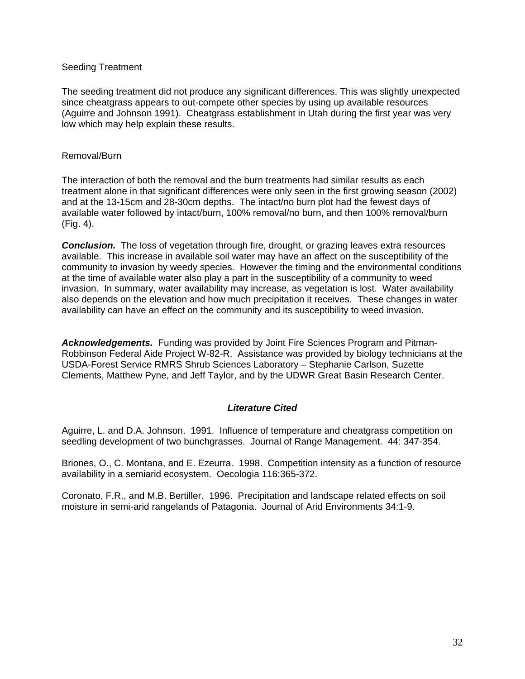#### Seeding Treatment

The seeding treatment did not produce any significant differences. This was slightly unexpected since cheatgrass appears to out-compete other species by using up available resources (Aguirre and Johnson 1991). Cheatgrass establishment in Utah during the first year was very low which may help explain these results.

#### Removal/Burn

The interaction of both the removal and the burn treatments had similar results as each treatment alone in that significant differences were only seen in the first growing season (2002) and at the 13-15cm and 28-30cm depths. The intact/no burn plot had the fewest days of available water followed by intact/burn, 100% removal/no burn, and then 100% removal/burn (Fig. 4).

**Conclusion.** The loss of vegetation through fire, drought, or grazing leaves extra resources available. This increase in available soil water may have an affect on the susceptibility of the community to invasion by weedy species. However the timing and the environmental conditions at the time of available water also play a part in the susceptibility of a community to weed invasion. In summary, water availability may increase, as vegetation is lost. Water availability also depends on the elevation and how much precipitation it receives. These changes in water availability can have an effect on the community and its susceptibility to weed invasion.

*Acknowledgements.*Funding was provided by Joint Fire Sciences Program and Pitman-Robbinson Federal Aide Project W-82-R. Assistance was provided by biology technicians at the USDA-Forest Service RMRS Shrub Sciences Laboratory – Stephanie Carlson, Suzette Clements, Matthew Pyne, and Jeff Taylor, and by the UDWR Great Basin Research Center.

#### *Literature Cited*

Aguirre, L. and D.A. Johnson. 1991. Influence of temperature and cheatgrass competition on seedling development of two bunchgrasses. Journal of Range Management. 44: 347-354.

Briones, O., C. Montana, and E. Ezeurra. 1998. Competition intensity as a function of resource availability in a semiarid ecosystem. Oecologia 116:365-372.

Coronato, F.R., and M.B. Bertiller. 1996. Precipitation and landscape related effects on soil moisture in semi-arid rangelands of Patagonia. Journal of Arid Environments 34:1-9.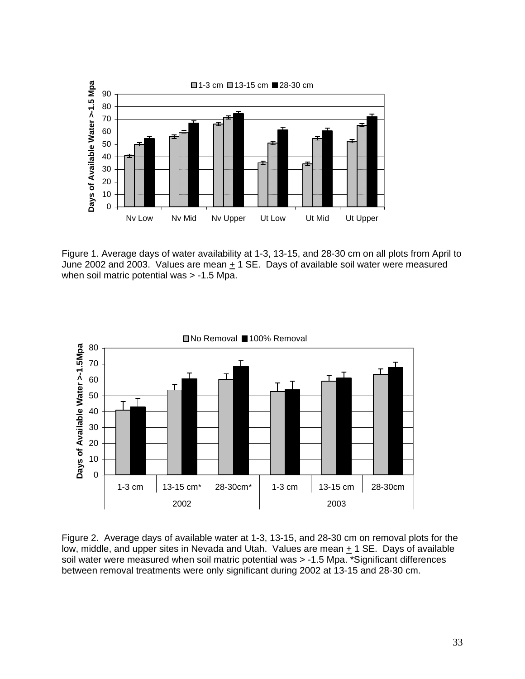

Figure 1. Average days of water availability at 1-3, 13-15, and 28-30 cm on all plots from April to June 2002 and 2003. Values are mean  $\pm$  1 SE. Days of available soil water were measured when soil matric potential was > -1.5 Mpa.



Figure 2. Average days of available water at 1-3, 13-15, and 28-30 cm on removal plots for the low, middle, and upper sites in Nevada and Utah. Values are mean + 1 SE. Days of available soil water were measured when soil matric potential was > -1.5 Mpa. \*Significant differences between removal treatments were only significant during 2002 at 13-15 and 28-30 cm.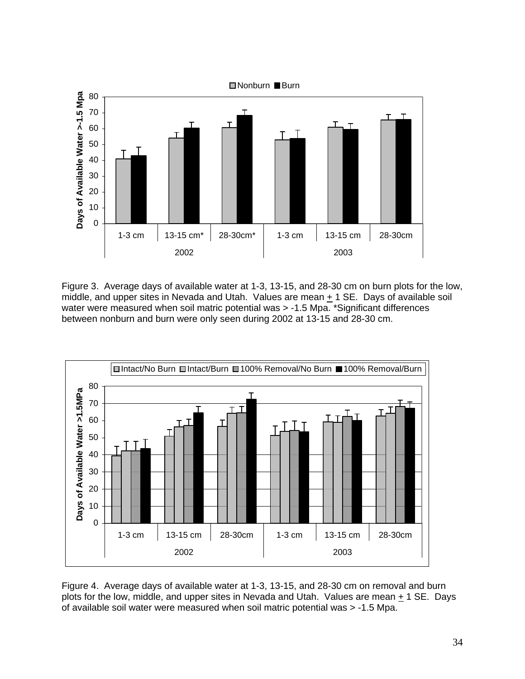

Figure 3. Average days of available water at 1-3, 13-15, and 28-30 cm on burn plots for the low, middle, and upper sites in Nevada and Utah. Values are mean  $\pm$  1 SE. Days of available soil water were measured when soil matric potential was > -1.5 Mpa. \*Significant differences between nonburn and burn were only seen during 2002 at 13-15 and 28-30 cm.



Figure 4. Average days of available water at 1-3, 13-15, and 28-30 cm on removal and burn plots for the low, middle, and upper sites in Nevada and Utah. Values are mean + 1 SE. Days of available soil water were measured when soil matric potential was > -1.5 Mpa.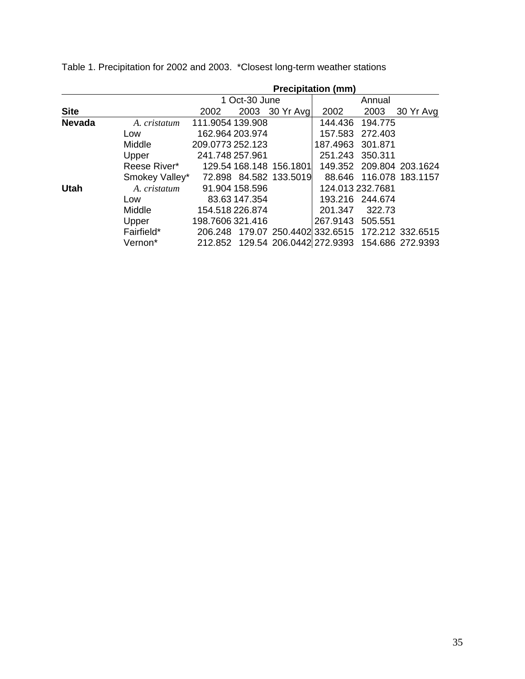|               |                | <b>Precipitation (mm)</b> |                 |                         |                                                   |                  |                          |
|---------------|----------------|---------------------------|-----------------|-------------------------|---------------------------------------------------|------------------|--------------------------|
|               |                | 1 Oct-30 June             |                 |                         | Annual                                            |                  |                          |
| <b>Site</b>   |                | 2002                      |                 | 2003 30 Yr Avg          | 2002                                              | 2003             | 30 Yr Avg                |
| <b>Nevada</b> | A. cristatum   | 111.9054 139.908          |                 |                         | 144.436                                           | 194.775          |                          |
|               | Low            |                           | 162.964 203.974 |                         | 157.583                                           | 272.403          |                          |
|               | Middle         | 209.0773 252.123          |                 |                         | 187.4963                                          | 301.871          |                          |
|               | Upper          | 241.748 257.961           |                 |                         | 251.243                                           | 350.311          |                          |
|               | Reese River*   |                           |                 | 129.54 168.148 156.1801 |                                                   |                  | 149.352 209.804 203.1624 |
|               | Smokey Valley* |                           |                 | 72.898 84.582 133.5019  |                                                   |                  | 88.646 116.078 183.1157  |
| <b>Utah</b>   | A. cristatum   |                           | 91.904 158.596  |                         |                                                   | 124.013 232.7681 |                          |
|               | Low            |                           | 83.63 147.354   |                         |                                                   | 193.216 244.674  |                          |
|               | Middle         |                           | 154.518 226.874 |                         | 201.347                                           | 322.73           |                          |
|               | Upper          | 198.7606 321.416          |                 |                         | 267.9143                                          | 505.551          |                          |
|               | Fairfield*     |                           |                 |                         | 206.248 179.07 250.4402 332.6515 172.212 332.6515 |                  |                          |
|               | Vernon*        |                           |                 |                         | 212.852 129.54 206.0442 272.9393 154.686 272.9393 |                  |                          |

Table 1. Precipitation for 2002 and 2003. \*Closest long-term weather stations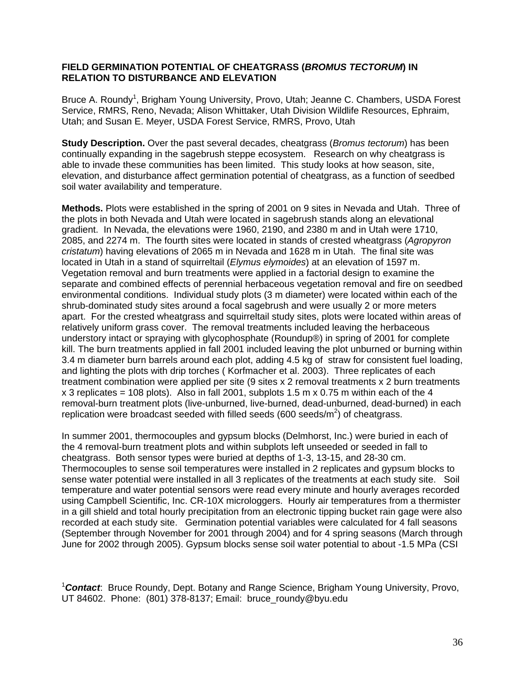#### **FIELD GERMINATION POTENTIAL OF CHEATGRASS (***BROMUS TECTORUM***) IN RELATION TO DISTURBANCE AND ELEVATION**

Bruce A. Roundy<sup>1</sup>, Brigham Young University, Provo, Utah; Jeanne C. Chambers, USDA Forest Service, RMRS, Reno, Nevada; Alison Whittaker, Utah Division Wildlife Resources, Ephraim, Utah; and Susan E. Meyer, USDA Forest Service, RMRS, Provo, Utah

**Study Description.** Over the past several decades, cheatgrass (*Bromus tectorum*) has been continually expanding in the sagebrush steppe ecosystem. Research on why cheatgrass is able to invade these communities has been limited. This study looks at how season, site, elevation, and disturbance affect germination potential of cheatgrass, as a function of seedbed soil water availability and temperature.

**Methods.** Plots were established in the spring of 2001 on 9 sites in Nevada and Utah. Three of the plots in both Nevada and Utah were located in sagebrush stands along an elevational gradient. In Nevada, the elevations were 1960, 2190, and 2380 m and in Utah were 1710, 2085, and 2274 m. The fourth sites were located in stands of crested wheatgrass (*Agropyron cristatum*) having elevations of 2065 m in Nevada and 1628 m in Utah. The final site was located in Utah in a stand of squirreltail (*Elymus elymoides*) at an elevation of 1597 m. Vegetation removal and burn treatments were applied in a factorial design to examine the separate and combined effects of perennial herbaceous vegetation removal and fire on seedbed environmental conditions. Individual study plots (3 m diameter) were located within each of the shrub-dominated study sites around a focal sagebrush and were usually 2 or more meters apart. For the crested wheatgrass and squirreltail study sites, plots were located within areas of relatively uniform grass cover. The removal treatments included leaving the herbaceous understory intact or spraying with glycophosphate (Roundup®) in spring of 2001 for complete kill. The burn treatments applied in fall 2001 included leaving the plot unburned or burning within 3.4 m diameter burn barrels around each plot, adding 4.5 kg of straw for consistent fuel loading, and lighting the plots with drip torches ( Korfmacher et al. 2003). Three replicates of each treatment combination were applied per site (9 sites x 2 removal treatments x 2 burn treatments  $x$  3 replicates = 108 plots). Also in fall 2001, subplots 1.5 m  $x$  0.75 m within each of the 4 removal-burn treatment plots (live-unburned, live-burned, dead-unburned, dead-burned) in each replication were broadcast seeded with filled seeds (600 seeds/m<sup>2</sup>) of cheatgrass.

In summer 2001, thermocouples and gypsum blocks (Delmhorst, Inc.) were buried in each of the 4 removal-burn treatment plots and within subplots left unseeded or seeded in fall to cheatgrass. Both sensor types were buried at depths of 1-3, 13-15, and 28-30 cm. Thermocouples to sense soil temperatures were installed in 2 replicates and gypsum blocks to sense water potential were installed in all 3 replicates of the treatments at each study site. Soil temperature and water potential sensors were read every minute and hourly averages recorded using Campbell Scientific, Inc. CR-10X microloggers. Hourly air temperatures from a thermister in a gill shield and total hourly precipitation from an electronic tipping bucket rain gage were also recorded at each study site. Germination potential variables were calculated for 4 fall seasons (September through November for 2001 through 2004) and for 4 spring seasons (March through June for 2002 through 2005). Gypsum blocks sense soil water potential to about -1.5 MPa (CSI

<sup>1</sup> *Contact*: Bruce Roundy, Dept. Botany and Range Science, Brigham Young University, Provo, UT 84602. Phone: (801) 378-8137; Email: bruce\_roundy@byu.edu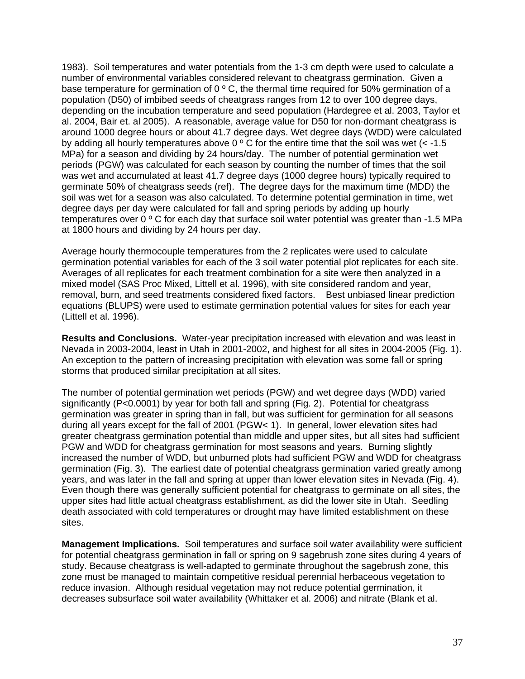1983). Soil temperatures and water potentials from the 1-3 cm depth were used to calculate a number of environmental variables considered relevant to cheatgrass germination. Given a base temperature for germination of  $0^{\circ}$  C, the thermal time required for 50% germination of a population (D50) of imbibed seeds of cheatgrass ranges from 12 to over 100 degree days, depending on the incubation temperature and seed population (Hardegree et al. 2003, Taylor et al. 2004, Bair et. al 2005). A reasonable, average value for D50 for non-dormant cheatgrass is around 1000 degree hours or about 41.7 degree days. Wet degree days (WDD) were calculated by adding all hourly temperatures above  $0^{\circ}$  C for the entire time that the soil was wet (< -1.5 MPa) for a season and dividing by 24 hours/day. The number of potential germination wet periods (PGW) was calculated for each season by counting the number of times that the soil was wet and accumulated at least 41.7 degree days (1000 degree hours) typically required to germinate 50% of cheatgrass seeds (ref). The degree days for the maximum time (MDD) the soil was wet for a season was also calculated. To determine potential germination in time, wet degree days per day were calculated for fall and spring periods by adding up hourly temperatures over 0 º C for each day that surface soil water potential was greater than -1.5 MPa at 1800 hours and dividing by 24 hours per day.

Average hourly thermocouple temperatures from the 2 replicates were used to calculate germination potential variables for each of the 3 soil water potential plot replicates for each site. Averages of all replicates for each treatment combination for a site were then analyzed in a mixed model (SAS Proc Mixed, Littell et al. 1996), with site considered random and year, removal, burn, and seed treatments considered fixed factors. Best unbiased linear prediction equations (BLUPS) were used to estimate germination potential values for sites for each year (Littell et al. 1996).

**Results and Conclusions.** Water-year precipitation increased with elevation and was least in Nevada in 2003-2004, least in Utah in 2001-2002, and highest for all sites in 2004-2005 (Fig. 1). An exception to the pattern of increasing precipitation with elevation was some fall or spring storms that produced similar precipitation at all sites.

The number of potential germination wet periods (PGW) and wet degree days (WDD) varied significantly (P<0.0001) by year for both fall and spring (Fig. 2). Potential for cheatgrass germination was greater in spring than in fall, but was sufficient for germination for all seasons during all years except for the fall of 2001 (PGW< 1). In general, lower elevation sites had greater cheatgrass germination potential than middle and upper sites, but all sites had sufficient PGW and WDD for cheatgrass germination for most seasons and years. Burning slightly increased the number of WDD, but unburned plots had sufficient PGW and WDD for cheatgrass germination (Fig. 3). The earliest date of potential cheatgrass germination varied greatly among years, and was later in the fall and spring at upper than lower elevation sites in Nevada (Fig. 4). Even though there was generally sufficient potential for cheatgrass to germinate on all sites, the upper sites had little actual cheatgrass establishment, as did the lower site in Utah. Seedling death associated with cold temperatures or drought may have limited establishment on these sites.

**Management Implications.** Soil temperatures and surface soil water availability were sufficient for potential cheatgrass germination in fall or spring on 9 sagebrush zone sites during 4 years of study. Because cheatgrass is well-adapted to germinate throughout the sagebrush zone, this zone must be managed to maintain competitive residual perennial herbaceous vegetation to reduce invasion. Although residual vegetation may not reduce potential germination, it decreases subsurface soil water availability (Whittaker et al. 2006) and nitrate (Blank et al.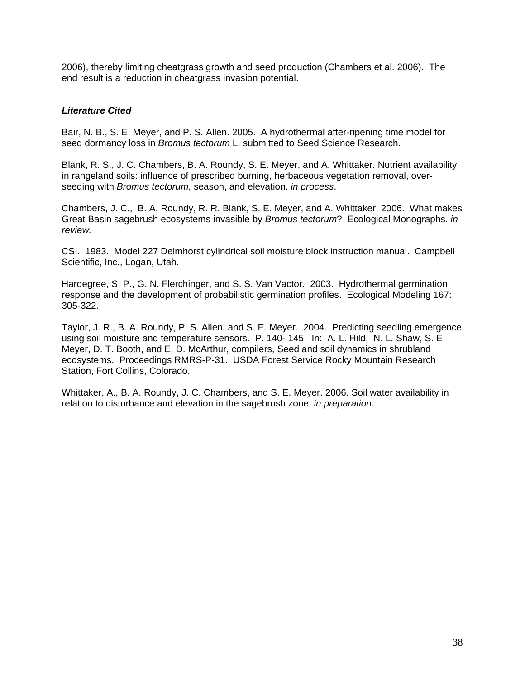2006), thereby limiting cheatgrass growth and seed production (Chambers et al. 2006). The end result is a reduction in cheatgrass invasion potential.

#### *Literature Cited*

Bair, N. B., S. E. Meyer, and P. S. Allen. 2005. A hydrothermal after-ripening time model for seed dormancy loss in *Bromus tectorum* L. submitted to Seed Science Research.

Blank, R. S., J. C. Chambers, B. A. Roundy, S. E. Meyer, and A. Whittaker. Nutrient availability in rangeland soils: influence of prescribed burning, herbaceous vegetation removal, overseeding with *Bromus tectorum*, season, and elevation. *in process*.

Chambers, J. C., B. A. Roundy, R. R. Blank, S. E. Meyer, and A. Whittaker. 2006. What makes Great Basin sagebrush ecosystems invasible by *Bromus tectorum*? Ecological Monographs. *in review.* 

CSI. 1983. Model 227 Delmhorst cylindrical soil moisture block instruction manual. Campbell Scientific, Inc., Logan, Utah.

Hardegree, S. P., G. N. Flerchinger, and S. S. Van Vactor. 2003. Hydrothermal germination response and the development of probabilistic germination profiles. Ecological Modeling 167: 305-322.

Taylor, J. R., B. A. Roundy, P. S. Allen, and S. E. Meyer. 2004. Predicting seedling emergence using soil moisture and temperature sensors. P. 140- 145. In: A. L. Hild, N. L. Shaw, S. E. Meyer, D. T. Booth, and E. D. McArthur, compilers, Seed and soil dynamics in shrubland ecosystems. Proceedings RMRS-P-31. USDA Forest Service Rocky Mountain Research Station, Fort Collins, Colorado.

Whittaker, A., B. A. Roundy, J. C. Chambers, and S. E. Meyer. 2006. Soil water availability in relation to disturbance and elevation in the sagebrush zone. *in preparation*.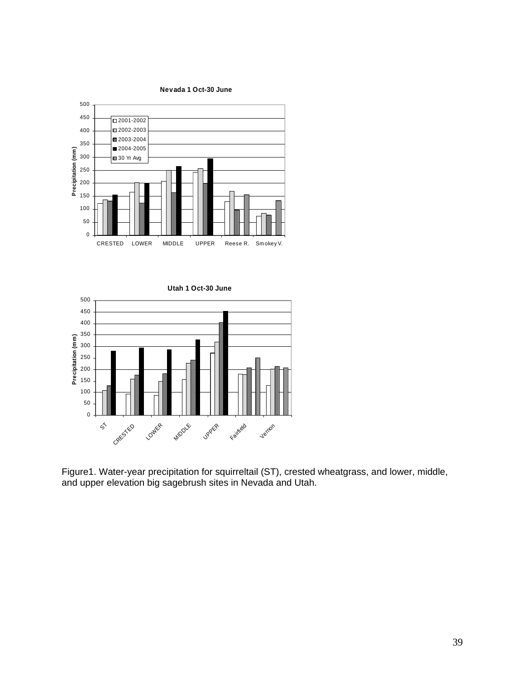

**Utah 1 Oct-30 June** 0 50 100 150 200 250 300  $\widehat{\mathsf{e}}^{350}$ 400 450 500  $\acute{\text{s}}$ Creested LOWER **MIDDLE UPPER** Fairfield **Verrion Precipitation (m**

Figure1. Water-year precipitation for squirreltail (ST), crested wheatgrass, and lower, middle, and upper elevation big sagebrush sites in Nevada and Utah.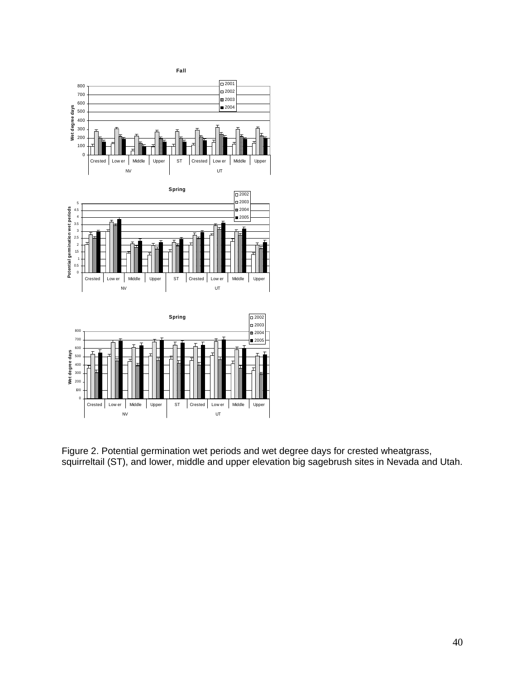

Figure 2. Potential germination wet periods and wet degree days for crested wheatgrass, squirreltail (ST), and lower, middle and upper elevation big sagebrush sites in Nevada and Utah.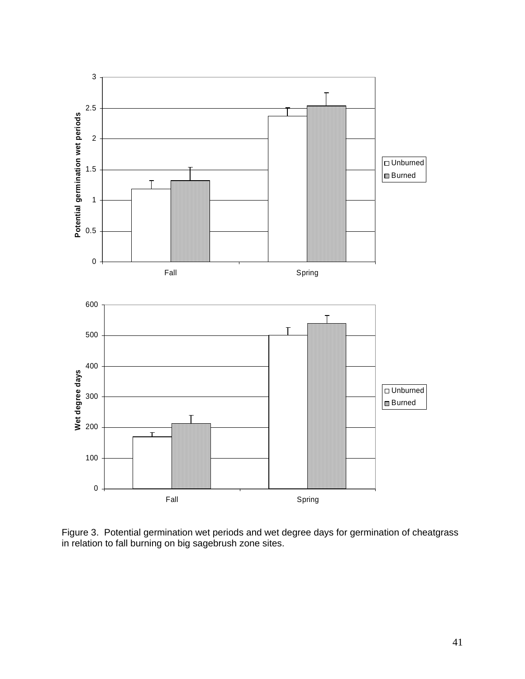

Figure 3. Potential germination wet periods and wet degree days for germination of cheatgrass in relation to fall burning on big sagebrush zone sites.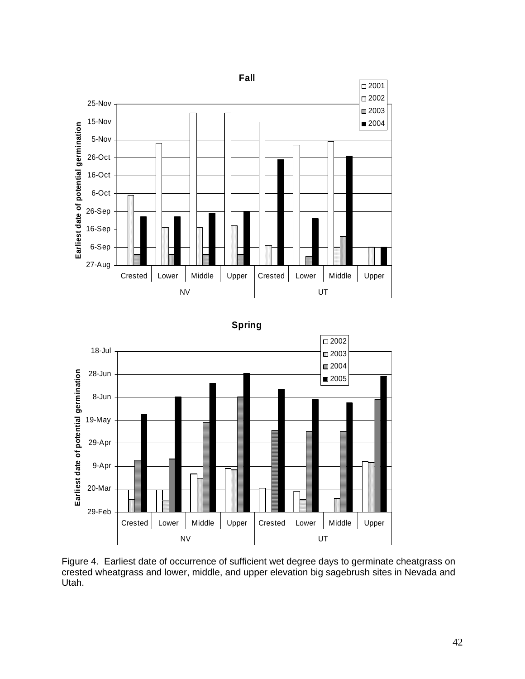





Figure 4. Earliest date of occurrence of sufficient wet degree days to germinate cheatgrass on crested wheatgrass and lower, middle, and upper elevation big sagebrush sites in Nevada and Utah.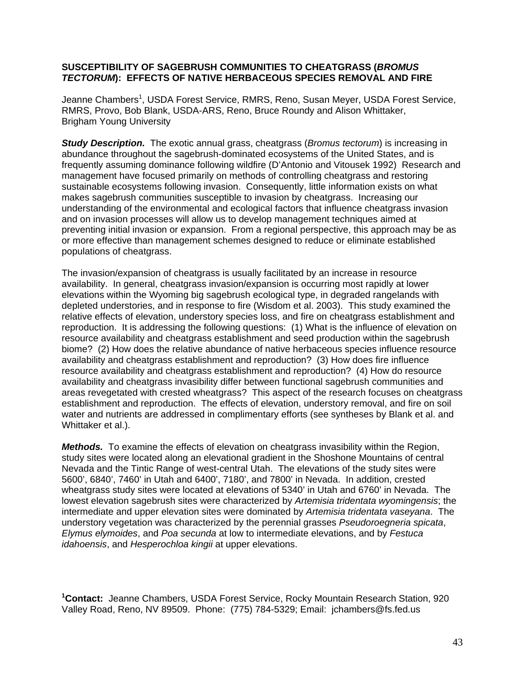#### **SUSCEPTIBILITY OF SAGEBRUSH COMMUNITIES TO CHEATGRASS (***BROMUS TECTORUM***): EFFECTS OF NATIVE HERBACEOUS SPECIES REMOVAL AND FIRE**

Jeanne Chambers<sup>1</sup>, USDA Forest Service, RMRS, Reno, Susan Meyer, USDA Forest Service, RMRS, Provo, Bob Blank, USDA-ARS, Reno, Bruce Roundy and Alison Whittaker, Brigham Young University

*Study Description.* The exotic annual grass, cheatgrass (*Bromus tectorum*) is increasing in abundance throughout the sagebrush-dominated ecosystems of the United States, and is frequently assuming dominance following wildfire (D'Antonio and Vitousek 1992) Research and management have focused primarily on methods of controlling cheatgrass and restoring sustainable ecosystems following invasion. Consequently, little information exists on what makes sagebrush communities susceptible to invasion by cheatgrass. Increasing our understanding of the environmental and ecological factors that influence cheatgrass invasion and on invasion processes will allow us to develop management techniques aimed at preventing initial invasion or expansion. From a regional perspective, this approach may be as or more effective than management schemes designed to reduce or eliminate established populations of cheatgrass.

The invasion/expansion of cheatgrass is usually facilitated by an increase in resource availability. In general, cheatgrass invasion/expansion is occurring most rapidly at lower elevations within the Wyoming big sagebrush ecological type, in degraded rangelands with depleted understories, and in response to fire (Wisdom et al. 2003). This study examined the relative effects of elevation, understory species loss, and fire on cheatgrass establishment and reproduction. It is addressing the following questions: (1) What is the influence of elevation on resource availability and cheatgrass establishment and seed production within the sagebrush biome? (2) How does the relative abundance of native herbaceous species influence resource availability and cheatgrass establishment and reproduction? (3) How does fire influence resource availability and cheatgrass establishment and reproduction? (4) How do resource availability and cheatgrass invasibility differ between functional sagebrush communities and areas revegetated with crested wheatgrass? This aspect of the research focuses on cheatgrass establishment and reproduction. The effects of elevation, understory removal, and fire on soil water and nutrients are addressed in complimentary efforts (see syntheses by Blank et al. and Whittaker et al.).

*Methods.* To examine the effects of elevation on cheatgrass invasibility within the Region, study sites were located along an elevational gradient in the Shoshone Mountains of central Nevada and the Tintic Range of west-central Utah. The elevations of the study sites were 5600', 6840', 7460' in Utah and 6400', 7180', and 7800' in Nevada. In addition, crested wheatgrass study sites were located at elevations of 5340' in Utah and 6760' in Nevada. The lowest elevation sagebrush sites were characterized by *Artemisia tridentata wyomingensis*; the intermediate and upper elevation sites were dominated by *Artemisia tridentata vaseyana*. The understory vegetation was characterized by the perennial grasses *Pseudoroegneria spicata*, *Elymus elymoides*, and *Poa secunda* at low to intermediate elevations, and by *Festuca idahoensis*, and *Hesperochloa kingii* at upper elevations.

**1 Contact:** Jeanne Chambers, USDA Forest Service, Rocky Mountain Research Station, 920 Valley Road, Reno, NV 89509. Phone: (775) 784-5329; Email: jchambers@fs.fed.us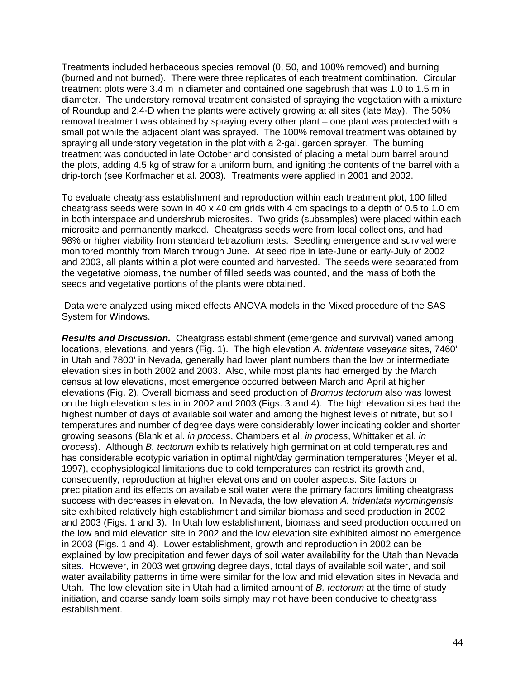Treatments included herbaceous species removal (0, 50, and 100% removed) and burning (burned and not burned). There were three replicates of each treatment combination. Circular treatment plots were 3.4 m in diameter and contained one sagebrush that was 1.0 to 1.5 m in diameter. The understory removal treatment consisted of spraying the vegetation with a mixture of Roundup and 2,4-D when the plants were actively growing at all sites (late May). The 50% removal treatment was obtained by spraying every other plant – one plant was protected with a small pot while the adjacent plant was sprayed. The 100% removal treatment was obtained by spraying all understory vegetation in the plot with a 2-gal. garden sprayer. The burning treatment was conducted in late October and consisted of placing a metal burn barrel around the plots, adding 4.5 kg of straw for a uniform burn, and igniting the contents of the barrel with a drip-torch (see Korfmacher et al. 2003). Treatments were applied in 2001 and 2002.

To evaluate cheatgrass establishment and reproduction within each treatment plot, 100 filled cheatgrass seeds were sown in 40 x 40 cm grids with 4 cm spacings to a depth of 0.5 to 1.0 cm in both interspace and undershrub microsites. Two grids (subsamples) were placed within each microsite and permanently marked. Cheatgrass seeds were from local collections, and had 98% or higher viability from standard tetrazolium tests. Seedling emergence and survival were monitored monthly from March through June. At seed ripe in late-June or early-July of 2002 and 2003, all plants within a plot were counted and harvested. The seeds were separated from the vegetative biomass, the number of filled seeds was counted, and the mass of both the seeds and vegetative portions of the plants were obtained.

 Data were analyzed using mixed effects ANOVA models in the Mixed procedure of the SAS System for Windows.

*Results and Discussion.* Cheatgrass establishment (emergence and survival) varied among locations, elevations, and years (Fig. 1). The high elevation *A. tridentata vaseyana* sites, 7460' in Utah and 7800' in Nevada, generally had lower plant numbers than the low or intermediate elevation sites in both 2002 and 2003. Also, while most plants had emerged by the March census at low elevations, most emergence occurred between March and April at higher elevations (Fig. 2). Overall biomass and seed production of *Bromus tectorum* also was lowest on the high elevation sites in in 2002 and 2003 (Figs. 3 and 4). The high elevation sites had the highest number of days of available soil water and among the highest levels of nitrate, but soil temperatures and number of degree days were considerably lower indicating colder and shorter growing seasons (Blank et al. *in process*, Chambers et al. *in process*, Whittaker et al. *in process*). Although *B. tectorum* exhibits relatively high germination at cold temperatures and has considerable ecotypic variation in optimal night/day germination temperatures (Meyer et al. 1997), ecophysiological limitations due to cold temperatures can restrict its growth and, consequently, reproduction at higher elevations and on cooler aspects. Site factors or precipitation and its effects on available soil water were the primary factors limiting cheatgrass success with decreases in elevation. In Nevada, the low elevation *A. tridentata wyomingensis* site exhibited relatively high establishment and similar biomass and seed production in 2002 and 2003 (Figs. 1 and 3). In Utah low establishment, biomass and seed production occurred on the low and mid elevation site in 2002 and the low elevation site exhibited almost no emergence in 2003 (Figs. 1 and 4). Lower establishment, growth and reproduction in 2002 can be explained by low precipitation and fewer days of soil water availability for the Utah than Nevada sites. However, in 2003 wet growing degree days, total days of available soil water, and soil water availability patterns in time were similar for the low and mid elevation sites in Nevada and Utah. The low elevation site in Utah had a limited amount of *B. tectorum* at the time of study initiation, and coarse sandy loam soils simply may not have been conducive to cheatgrass establishment.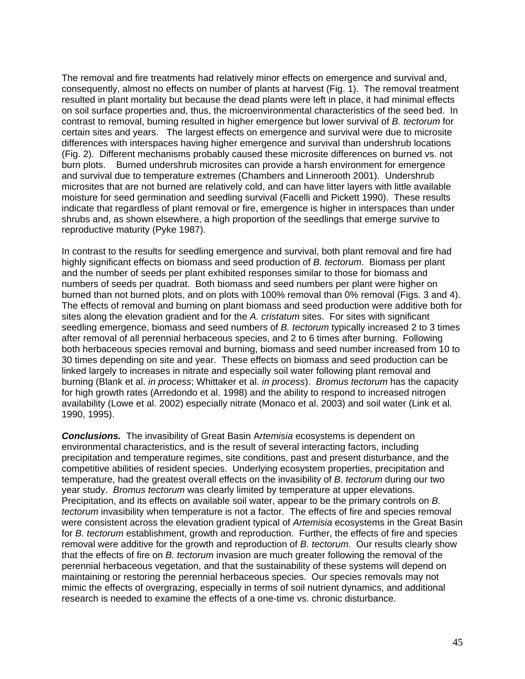The removal and fire treatments had relatively minor effects on emergence and survival and, consequently, almost no effects on number of plants at harvest (Fig. 1). The removal treatment resulted in plant mortality but because the dead plants were left in place, it had minimal effects on soil surface properties and, thus, the microenvironmental characteristics of the seed bed. In contrast to removal, burning resulted in higher emergence but lower survival of *B. tectorum* for certain sites and years. The largest effects on emergence and survival were due to microsite differences with interspaces having higher emergence and survival than undershrub locations (Fig. 2). Different mechanisms probably caused these microsite differences on burned vs. not burn plots. Burned undershrub microsites can provide a harsh environment for emergence and survival due to temperature extremes (Chambers and Linnerooth 2001). Undershrub microsites that are not burned are relatively cold, and can have litter layers with little available moisture for seed germination and seedling survival (Facelli and Pickett 1990). These results indicate that regardless of plant removal or fire, emergence is higher in interspaces than under shrubs and, as shown elsewhere, a high proportion of the seedlings that emerge survive to reproductive maturity (Pyke 1987).

In contrast to the results for seedling emergence and survival, both plant removal and fire had highly significant effects on biomass and seed production of *B. tectorum*. Biomass per plant and the number of seeds per plant exhibited responses similar to those for biomass and numbers of seeds per quadrat. Both biomass and seed numbers per plant were higher on burned than not burned plots, and on plots with 100% removal than 0% removal (Figs. 3 and 4). The effects of removal and burning on plant biomass and seed production were additive both for sites along the elevation gradient and for the *A. cristatum* sites. For sites with significant seedling emergence, biomass and seed numbers of *B. tectorum* typically increased 2 to 3 times after removal of all perennial herbaceous species, and 2 to 6 times after burning. Following both herbaceous species removal and burning, biomass and seed number increased from 10 to 30 times depending on site and year. These effects on biomass and seed production can be linked largely to increases in nitrate and especially soil water following plant removal and burning (Blank et al. *in process*; Whittaker et al. *in process*). *Bromus tectorum* has the capacity for high growth rates (Arredondo et al. 1998) and the ability to respond to increased nitrogen availability (Lowe et al. 2002) especially nitrate (Monaco et al. 2003) and soil water (Link et al. 1990, 1995).

*Conclusions.* The invasibility of Great Basin A*rtemisia* ecosystems is dependent on environmental characteristics, and is the result of several interacting factors, including precipitation and temperature regimes, site conditions, past and present disturbance, and the competitive abilities of resident species. Underlying ecosystem properties, precipitation and temperature, had the greatest overall effects on the invasibility of *B. tectorum* during our two year study. *Bromus tectorum* was clearly limited by temperature at upper elevations. Precipitation, and its effects on available soil water, appear to be the primary controls on *B. tectorum* invasibility when temperature is not a factor. The effects of fire and species removal were consistent across the elevation gradient typical of *Artemisia* ecosystems in the Great Basin for *B. tectorum* establishment, growth and reproduction. Further, the effects of fire and species removal were additive for the growth and reproduction of *B. tectorum*. Our results clearly show that the effects of fire on *B. tectorum* invasion are much greater following the removal of the perennial herbaceous vegetation, and that the sustainability of these systems will depend on maintaining or restoring the perennial herbaceous species. Our species removals may not mimic the effects of overgrazing, especially in terms of soil nutrient dynamics, and additional research is needed to examine the effects of a one-time vs. chronic disturbance.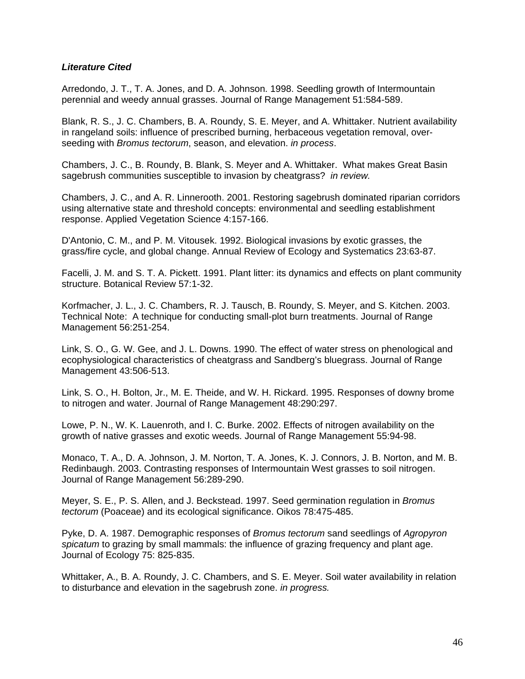#### *Literature Cited*

Arredondo, J. T., T. A. Jones, and D. A. Johnson. 1998. Seedling growth of Intermountain perennial and weedy annual grasses. Journal of Range Management 51:584-589.

Blank, R. S., J. C. Chambers, B. A. Roundy, S. E. Meyer, and A. Whittaker. Nutrient availability in rangeland soils: influence of prescribed burning, herbaceous vegetation removal, overseeding with *Bromus tectorum*, season, and elevation. *in process*.

Chambers, J. C., B. Roundy, B. Blank, S. Meyer and A. Whittaker. What makes Great Basin sagebrush communities susceptible to invasion by cheatgrass? *in review.* 

Chambers, J. C., and A. R. Linnerooth. 2001. Restoring sagebrush dominated riparian corridors using alternative state and threshold concepts: environmental and seedling establishment response. Applied Vegetation Science 4:157-166.

D'Antonio, C. M., and P. M. Vitousek. 1992. Biological invasions by exotic grasses, the grass/fire cycle, and global change. Annual Review of Ecology and Systematics 23:63-87.

Facelli, J. M. and S. T. A. Pickett. 1991. Plant litter: its dynamics and effects on plant community structure. Botanical Review 57:1-32.

Korfmacher, J. L., J. C. Chambers, R. J. Tausch, B. Roundy, S. Meyer, and S. Kitchen. 2003. Technical Note: A technique for conducting small-plot burn treatments. Journal of Range Management 56:251-254.

Link, S. O., G. W. Gee, and J. L. Downs. 1990. The effect of water stress on phenological and ecophysiological characteristics of cheatgrass and Sandberg's bluegrass. Journal of Range Management 43:506-513.

Link, S. O., H. Bolton, Jr., M. E. Theide, and W. H. Rickard. 1995. Responses of downy brome to nitrogen and water. Journal of Range Management 48:290:297.

Lowe, P. N., W. K. Lauenroth, and I. C. Burke. 2002. Effects of nitrogen availability on the growth of native grasses and exotic weeds. Journal of Range Management 55:94-98.

Monaco, T. A., D. A. Johnson, J. M. Norton, T. A. Jones, K. J. Connors, J. B. Norton, and M. B. Redinbaugh. 2003. Contrasting responses of Intermountain West grasses to soil nitrogen. Journal of Range Management 56:289-290.

Meyer, S. E., P. S. Allen, and J. Beckstead. 1997. Seed germination regulation in *Bromus tectorum* (Poaceae) and its ecological significance. Oikos 78:475-485.

Pyke, D. A. 1987. Demographic responses of *Bromus tectorum* sand seedlings of *Agropyron spicatum* to grazing by small mammals: the influence of grazing frequency and plant age. Journal of Ecology 75: 825-835.

Whittaker, A., B. A. Roundy, J. C. Chambers, and S. E. Meyer. Soil water availability in relation to disturbance and elevation in the sagebrush zone. *in progress.*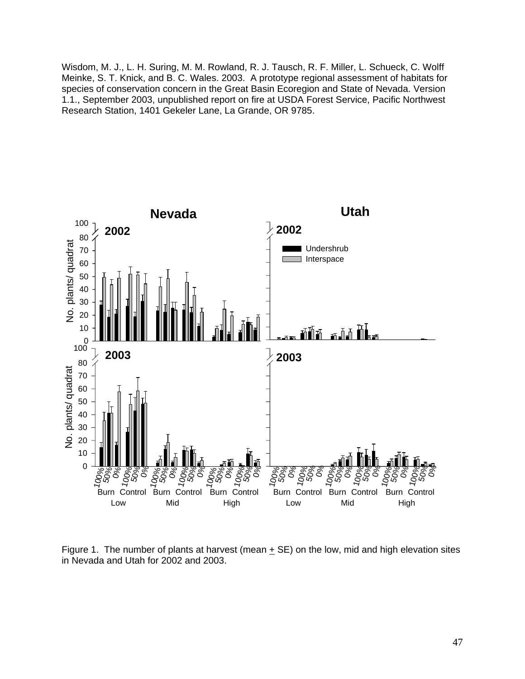Wisdom, M. J., L. H. Suring, M. M. Rowland, R. J. Tausch, R. F. Miller, L. Schueck, C. Wolff Meinke, S. T. Knick, and B. C. Wales. 2003. A prototype regional assessment of habitats for species of conservation concern in the Great Basin Ecoregion and State of Nevada. Version 1.1., September 2003, unpublished report on fire at USDA Forest Service, Pacific Northwest Research Station, 1401 Gekeler Lane, La Grande, OR 9785.



Figure 1. The number of plants at harvest (mean  $\pm$  SE) on the low, mid and high elevation sites in Nevada and Utah for 2002 and 2003.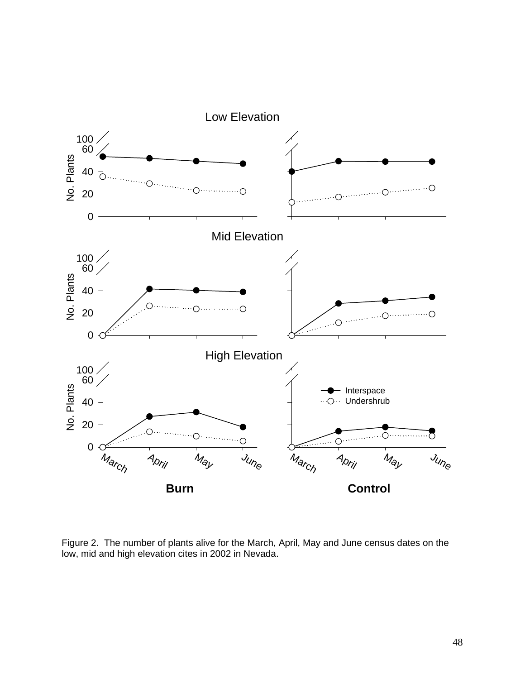

Figure 2. The number of plants alive for the March, April, May and June census dates on the low, mid and high elevation cites in 2002 in Nevada.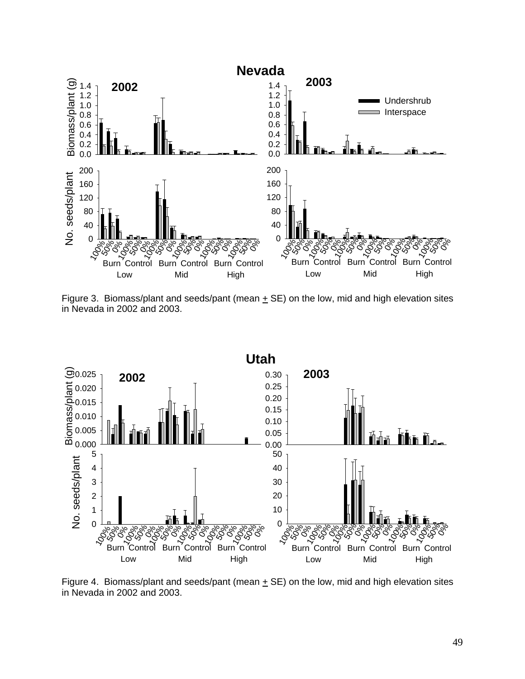

Figure 3. Biomass/plant and seeds/pant (mean  $\pm$  SE) on the low, mid and high elevation sites in Nevada in 2002 and 2003.



Figure 4. Biomass/plant and seeds/pant (mean  $\pm$  SE) on the low, mid and high elevation sites in Nevada in 2002 and 2003.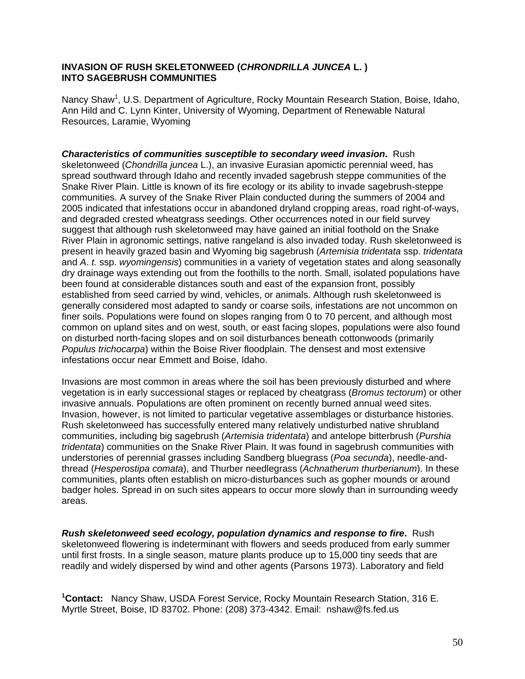#### **INVASION OF RUSH SKELETONWEED (***CHRONDRILLA JUNCEA* **L. ) INTO SAGEBRUSH COMMUNITIES**

Nancy Shaw<sup>1</sup>, U.S. Department of Agriculture, Rocky Mountain Research Station, Boise, Idaho, Ann Hild and C. Lynn Kinter, University of Wyoming, Department of Renewable Natural Resources, Laramie, Wyoming

*Characteristics of communities susceptible to secondary weed invasion***.** Rush skeletonweed (*Chondrilla juncea* L.), an invasive Eurasian apomictic perennial weed, has spread southward through Idaho and recently invaded sagebrush steppe communities of the Snake River Plain. Little is known of its fire ecology or its ability to invade sagebrush-steppe communities. A survey of the Snake River Plain conducted during the summers of 2004 and 2005 indicated that infestations occur in abandoned dryland cropping areas, road right-of-ways, and degraded crested wheatgrass seedings. Other occurrences noted in our field survey suggest that although rush skeletonweed may have gained an initial foothold on the Snake River Plain in agronomic settings, native rangeland is also invaded today. Rush skeletonweed is present in heavily grazed basin and Wyoming big sagebrush (*Artemisia tridentata* ssp. *tridentata* and *A*. *t.* ssp. *wyomingensis*) communities in a variety of vegetation states and along seasonally dry drainage ways extending out from the foothills to the north. Small, isolated populations have been found at considerable distances south and east of the expansion front, possibly established from seed carried by wind, vehicles, or animals. Although rush skeletonweed is generally considered most adapted to sandy or coarse soils, infestations are not uncommon on finer soils. Populations were found on slopes ranging from 0 to 70 percent, and although most common on upland sites and on west, south, or east facing slopes, populations were also found on disturbed north-facing slopes and on soil disturbances beneath cottonwoods (primarily *Populus trichocarpa*) within the Boise River floodplain. The densest and most extensive infestations occur near Emmett and Boise, Idaho.

Invasions are most common in areas where the soil has been previously disturbed and where vegetation is in early successional stages or replaced by cheatgrass (*Bromus tectorum*) or other invasive annuals. Populations are often prominent on recently burned annual weed sites. Invasion, however, is not limited to particular vegetative assemblages or disturbance histories. Rush skeletonweed has successfully entered many relatively undisturbed native shrubland communities, including big sagebrush (*Artemisia tridentata*) and antelope bitterbrush (*Purshia tridentata*) communities on the Snake River Plain. It was found in sagebrush communities with understories of perennial grasses including Sandberg bluegrass (*Poa secunda*), needle-andthread (*Hesperostipa comata*), and Thurber needlegrass (*Achnatherum thurberianum*). In these communities, plants often establish on micro-disturbances such as gopher mounds or around badger holes. Spread in on such sites appears to occur more slowly than in surrounding weedy areas.

*Rush skeletonweed seed ecology, population dynamics and response to fire***.** Rush skeletonweed flowering is indeterminant with flowers and seeds produced from early summer until first frosts. In a single season, mature plants produce up to 15,000 tiny seeds that are readily and widely dispersed by wind and other agents (Parsons 1973). Laboratory and field

**1 Contact:** Nancy Shaw, USDA Forest Service, Rocky Mountain Research Station, 316 E. Myrtle Street, Boise, ID 83702. Phone: (208) 373-4342. Email: nshaw@fs.fed.us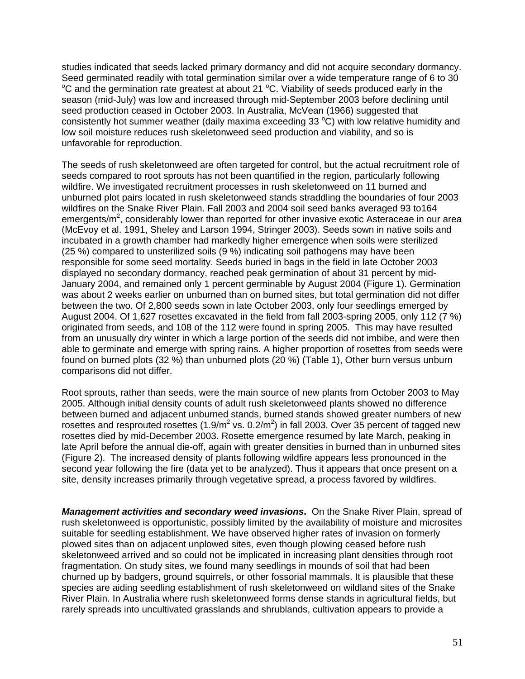studies indicated that seeds lacked primary dormancy and did not acquire secondary dormancy. Seed germinated readily with total germination similar over a wide temperature range of 6 to 30 °C and the germination rate greatest at about 21 °C. Viability of seeds produced early in the season (mid-July) was low and increased through mid-September 2003 before declining until seed production ceased in October 2003. In Australia, McVean (1966) suggested that consistently hot summer weather (daily maxima exceeding 33  $^{\circ}$ C) with low relative humidity and low soil moisture reduces rush skeletonweed seed production and viability, and so is unfavorable for reproduction.

The seeds of rush skeletonweed are often targeted for control, but the actual recruitment role of seeds compared to root sprouts has not been quantified in the region, particularly following wildfire. We investigated recruitment processes in rush skeletonweed on 11 burned and unburned plot pairs located in rush skeletonweed stands straddling the boundaries of four 2003 wildfires on the Snake River Plain. Fall 2003 and 2004 soil seed banks averaged 93 to164 emergents/m<sup>2</sup>, considerably lower than reported for other invasive exotic Asteraceae in our area (McEvoy et al. 1991, Sheley and Larson 1994, Stringer 2003). Seeds sown in native soils and incubated in a growth chamber had markedly higher emergence when soils were sterilized (25 %) compared to unsterilized soils (9 %) indicating soil pathogens may have been responsible for some seed mortality. Seeds buried in bags in the field in late October 2003 displayed no secondary dormancy, reached peak germination of about 31 percent by mid-January 2004, and remained only 1 percent germinable by August 2004 (Figure 1). Germination was about 2 weeks earlier on unburned than on burned sites, but total germination did not differ between the two. Of 2,800 seeds sown in late October 2003, only four seedlings emerged by August 2004. Of 1,627 rosettes excavated in the field from fall 2003-spring 2005, only 112 (7 %) originated from seeds, and 108 of the 112 were found in spring 2005. This may have resulted from an unusually dry winter in which a large portion of the seeds did not imbibe, and were then able to germinate and emerge with spring rains. A higher proportion of rosettes from seeds were found on burned plots (32 %) than unburned plots (20 %) (Table 1), Other burn versus unburn comparisons did not differ.

Root sprouts, rather than seeds, were the main source of new plants from October 2003 to May 2005. Although initial density counts of adult rush skeletonweed plants showed no difference between burned and adjacent unburned stands, burned stands showed greater numbers of new rosettes and resprouted rosettes (1.9/m<sup>2</sup> vs. 0.2/m<sup>2</sup>) in fall 2003. Over 35 percent of tagged new rosettes died by mid-December 2003. Rosette emergence resumed by late March, peaking in late April before the annual die-off, again with greater densities in burned than in unburned sites (Figure 2). The increased density of plants following wildfire appears less pronounced in the second year following the fire (data yet to be analyzed). Thus it appears that once present on a site, density increases primarily through vegetative spread, a process favored by wildfires.

*Management activities and secondary weed invasions***.** On the Snake River Plain, spread of rush skeletonweed is opportunistic, possibly limited by the availability of moisture and microsites suitable for seedling establishment. We have observed higher rates of invasion on formerly plowed sites than on adjacent unplowed sites, even though plowing ceased before rush skeletonweed arrived and so could not be implicated in increasing plant densities through root fragmentation. On study sites, we found many seedlings in mounds of soil that had been churned up by badgers, ground squirrels, or other fossorial mammals. It is plausible that these species are aiding seedling establishment of rush skeletonweed on wildland sites of the Snake River Plain. In Australia where rush skeletonweed forms dense stands in agricultural fields, but rarely spreads into uncultivated grasslands and shrublands, cultivation appears to provide a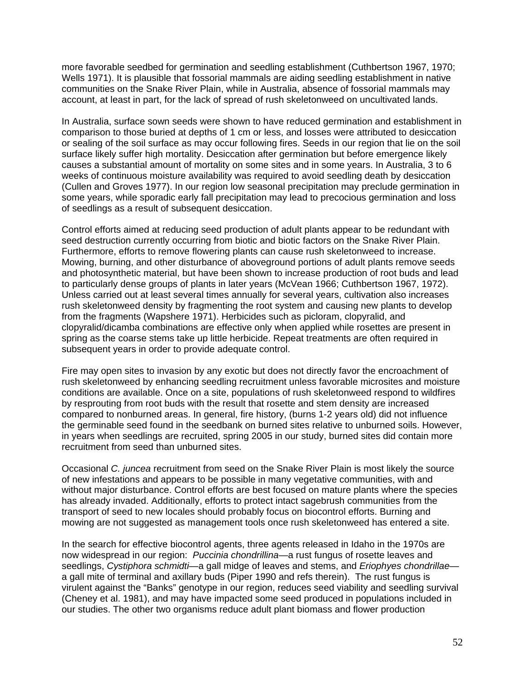more favorable seedbed for germination and seedling establishment (Cuthbertson 1967, 1970; Wells 1971). It is plausible that fossorial mammals are aiding seedling establishment in native communities on the Snake River Plain, while in Australia, absence of fossorial mammals may account, at least in part, for the lack of spread of rush skeletonweed on uncultivated lands.

In Australia, surface sown seeds were shown to have reduced germination and establishment in comparison to those buried at depths of 1 cm or less, and losses were attributed to desiccation or sealing of the soil surface as may occur following fires. Seeds in our region that lie on the soil surface likely suffer high mortality. Desiccation after germination but before emergence likely causes a substantial amount of mortality on some sites and in some years. In Australia, 3 to 6 weeks of continuous moisture availability was required to avoid seedling death by desiccation (Cullen and Groves 1977). In our region low seasonal precipitation may preclude germination in some years, while sporadic early fall precipitation may lead to precocious germination and loss of seedlings as a result of subsequent desiccation.

Control efforts aimed at reducing seed production of adult plants appear to be redundant with seed destruction currently occurring from biotic and biotic factors on the Snake River Plain. Furthermore, efforts to remove flowering plants can cause rush skeletonweed to increase. Mowing, burning, and other disturbance of aboveground portions of adult plants remove seeds and photosynthetic material, but have been shown to increase production of root buds and lead to particularly dense groups of plants in later years (McVean 1966; Cuthbertson 1967, 1972). Unless carried out at least several times annually for several years, cultivation also increases rush skeletonweed density by fragmenting the root system and causing new plants to develop from the fragments (Wapshere 1971). Herbicides such as picloram, clopyralid, and clopyralid/dicamba combinations are effective only when applied while rosettes are present in spring as the coarse stems take up little herbicide. Repeat treatments are often required in subsequent years in order to provide adequate control.

Fire may open sites to invasion by any exotic but does not directly favor the encroachment of rush skeletonweed by enhancing seedling recruitment unless favorable microsites and moisture conditions are available. Once on a site, populations of rush skeletonweed respond to wildfires by resprouting from root buds with the result that rosette and stem density are increased compared to nonburned areas. In general, fire history, (burns 1-2 years old) did not influence the germinable seed found in the seedbank on burned sites relative to unburned soils. However, in years when seedlings are recruited, spring 2005 in our study, burned sites did contain more recruitment from seed than unburned sites.

Occasional *C. juncea* recruitment from seed on the Snake River Plain is most likely the source of new infestations and appears to be possible in many vegetative communities, with and without major disturbance. Control efforts are best focused on mature plants where the species has already invaded. Additionally, efforts to protect intact sagebrush communities from the transport of seed to new locales should probably focus on biocontrol efforts. Burning and mowing are not suggested as management tools once rush skeletonweed has entered a site.

In the search for effective biocontrol agents, three agents released in Idaho in the 1970s are now widespread in our region: *Puccinia chondrillina*—a rust fungus of rosette leaves and seedlings, *Cystiphora schmidti*—a gall midge of leaves and stems, and *Eriophyes chondrillae* a gall mite of terminal and axillary buds (Piper 1990 and refs therein). The rust fungus is virulent against the "Banks" genotype in our region, reduces seed viability and seedling survival (Cheney et al. 1981), and may have impacted some seed produced in populations included in our studies. The other two organisms reduce adult plant biomass and flower production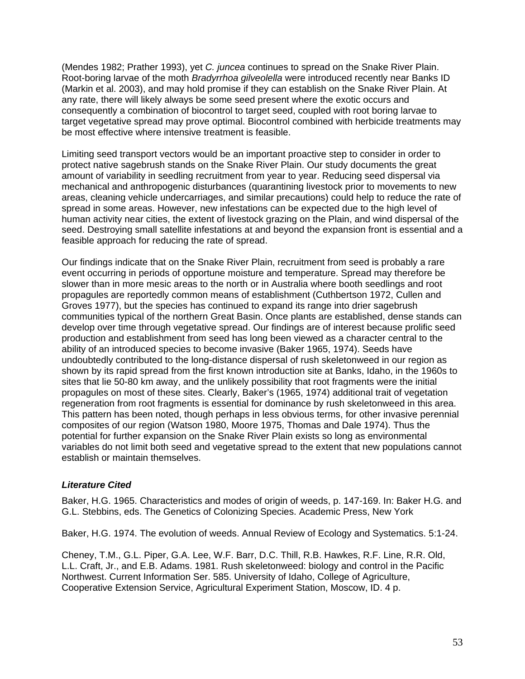(Mendes 1982; Prather 1993), yet *C. juncea* continues to spread on the Snake River Plain. Root-boring larvae of the moth *Bradyrrhoa gilveolella* were introduced recently near Banks ID (Markin et al. 2003), and may hold promise if they can establish on the Snake River Plain. At any rate, there will likely always be some seed present where the exotic occurs and consequently a combination of biocontrol to target seed, coupled with root boring larvae to target vegetative spread may prove optimal. Biocontrol combined with herbicide treatments may be most effective where intensive treatment is feasible.

Limiting seed transport vectors would be an important proactive step to consider in order to protect native sagebrush stands on the Snake River Plain. Our study documents the great amount of variability in seedling recruitment from year to year. Reducing seed dispersal via mechanical and anthropogenic disturbances (quarantining livestock prior to movements to new areas, cleaning vehicle undercarriages, and similar precautions) could help to reduce the rate of spread in some areas. However, new infestations can be expected due to the high level of human activity near cities, the extent of livestock grazing on the Plain, and wind dispersal of the seed. Destroying small satellite infestations at and beyond the expansion front is essential and a feasible approach for reducing the rate of spread.

Our findings indicate that on the Snake River Plain, recruitment from seed is probably a rare event occurring in periods of opportune moisture and temperature. Spread may therefore be slower than in more mesic areas to the north or in Australia where booth seedlings and root propagules are reportedly common means of establishment (Cuthbertson 1972, Cullen and Groves 1977), but the species has continued to expand its range into drier sagebrush communities typical of the northern Great Basin. Once plants are established, dense stands can develop over time through vegetative spread. Our findings are of interest because prolific seed production and establishment from seed has long been viewed as a character central to the ability of an introduced species to become invasive (Baker 1965, 1974). Seeds have undoubtedly contributed to the long-distance dispersal of rush skeletonweed in our region as shown by its rapid spread from the first known introduction site at Banks, Idaho, in the 1960s to sites that lie 50-80 km away, and the unlikely possibility that root fragments were the initial propagules on most of these sites. Clearly, Baker's (1965, 1974) additional trait of vegetation regeneration from root fragments is essential for dominance by rush skeletonweed in this area. This pattern has been noted, though perhaps in less obvious terms, for other invasive perennial composites of our region (Watson 1980, Moore 1975, Thomas and Dale 1974). Thus the potential for further expansion on the Snake River Plain exists so long as environmental variables do not limit both seed and vegetative spread to the extent that new populations cannot establish or maintain themselves.

#### *Literature Cited*

Baker, H.G. 1965. Characteristics and modes of origin of weeds, p. 147-169. In: Baker H.G. and G.L. Stebbins, eds. The Genetics of Colonizing Species. Academic Press, New York

Baker, H.G. 1974. The evolution of weeds. Annual Review of Ecology and Systematics. 5:1-24.

Cheney, T.M., G.L. Piper, G.A. Lee, W.F. Barr, D.C. Thill, R.B. Hawkes, R.F. Line, R.R. Old, L.L. Craft, Jr., and E.B. Adams. 1981. Rush skeletonweed: biology and control in the Pacific Northwest. Current Information Ser. 585. University of Idaho, College of Agriculture, Cooperative Extension Service, Agricultural Experiment Station, Moscow, ID. 4 p.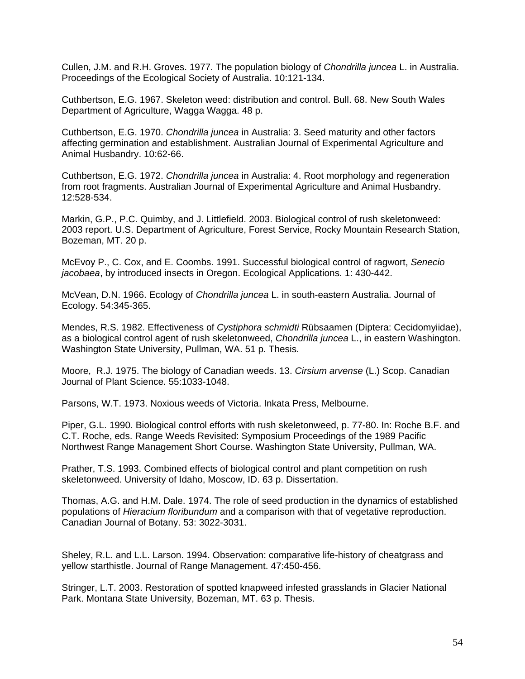Cullen, J.M. and R.H. Groves. 1977. The population biology of *Chondrilla juncea* L. in Australia. Proceedings of the Ecological Society of Australia. 10:121-134.

Cuthbertson, E.G. 1967. Skeleton weed: distribution and control. Bull. 68. New South Wales Department of Agriculture, Wagga Wagga. 48 p.

Cuthbertson, E.G. 1970. *Chondrilla juncea* in Australia: 3. Seed maturity and other factors affecting germination and establishment. Australian Journal of Experimental Agriculture and Animal Husbandry. 10:62-66.

Cuthbertson, E.G. 1972. *Chondrilla juncea* in Australia: 4. Root morphology and regeneration from root fragments. Australian Journal of Experimental Agriculture and Animal Husbandry. 12:528-534.

Markin, G.P., P.C. Quimby, and J. Littlefield. 2003. Biological control of rush skeletonweed: 2003 report. U.S. Department of Agriculture, Forest Service, Rocky Mountain Research Station, Bozeman, MT. 20 p.

McEvoy P., C. Cox, and E. Coombs. 1991. Successful biological control of ragwort, *Senecio jacobaea*, by introduced insects in Oregon. Ecological Applications. 1: 430-442.

McVean, D.N. 1966. Ecology of *Chondrilla juncea* L. in south-eastern Australia. Journal of Ecology. 54:345-365.

Mendes, R.S. 1982. Effectiveness of *Cystiphora schmidti* Rübsaamen (Diptera: Cecidomyiidae), as a biological control agent of rush skeletonweed, *Chondrilla juncea* L., in eastern Washington. Washington State University, Pullman, WA. 51 p. Thesis.

Moore, R.J. 1975. The biology of Canadian weeds. 13. *Cirsium arvense* (L.) Scop. Canadian Journal of Plant Science. 55:1033-1048.

Parsons, W.T. 1973. Noxious weeds of Victoria. Inkata Press, Melbourne.

Piper, G.L. 1990. Biological control efforts with rush skeletonweed, p. 77-80. In: Roche B.F. and C.T. Roche, eds. Range Weeds Revisited: Symposium Proceedings of the 1989 Pacific Northwest Range Management Short Course. Washington State University, Pullman, WA.

Prather, T.S. 1993. Combined effects of biological control and plant competition on rush skeletonweed. University of Idaho, Moscow, ID. 63 p. Dissertation.

Thomas, A.G. and H.M. Dale. 1974. The role of seed production in the dynamics of established populations of *Hieracium floribundum* and a comparison with that of vegetative reproduction. Canadian Journal of Botany. 53: 3022-3031.

Sheley, R.L. and L.L. Larson. 1994. Observation: comparative life-history of cheatgrass and yellow starthistle. Journal of Range Management. 47:450-456.

Stringer, L.T. 2003. Restoration of spotted knapweed infested grasslands in Glacier National Park. Montana State University, Bozeman, MT. 63 p. Thesis.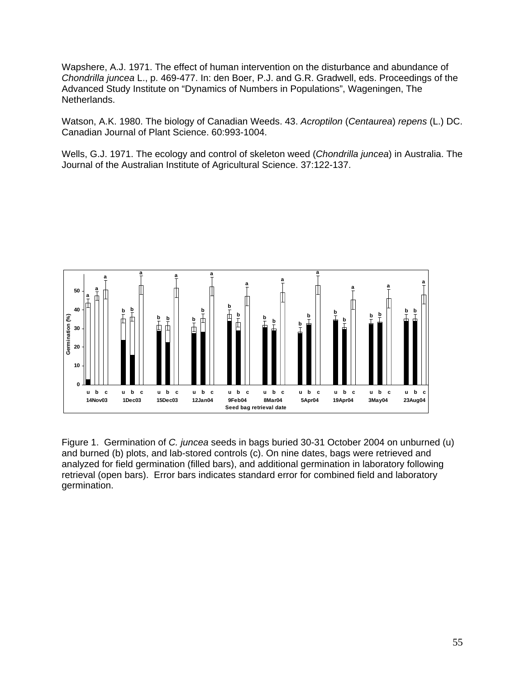Wapshere, A.J. 1971. The effect of human intervention on the disturbance and abundance of *Chondrilla juncea* L., p. 469-477. In: den Boer, P.J. and G.R. Gradwell, eds. Proceedings of the Advanced Study Institute on "Dynamics of Numbers in Populations", Wageningen, The Netherlands.

Watson, A.K. 1980. The biology of Canadian Weeds. 43. *Acroptilon* (*Centaurea*) *repens* (L.) DC. Canadian Journal of Plant Science. 60:993-1004.

Wells, G.J. 1971. The ecology and control of skeleton weed (*Chondrilla juncea*) in Australia. The Journal of the Australian Institute of Agricultural Science. 37:122-137.



Figure 1. Germination of *C. juncea* seeds in bags buried 30-31 October 2004 on unburned (u) and burned (b) plots, and lab-stored controls (c). On nine dates, bags were retrieved and analyzed for field germination (filled bars), and additional germination in laboratory following retrieval (open bars). Error bars indicates standard error for combined field and laboratory germination.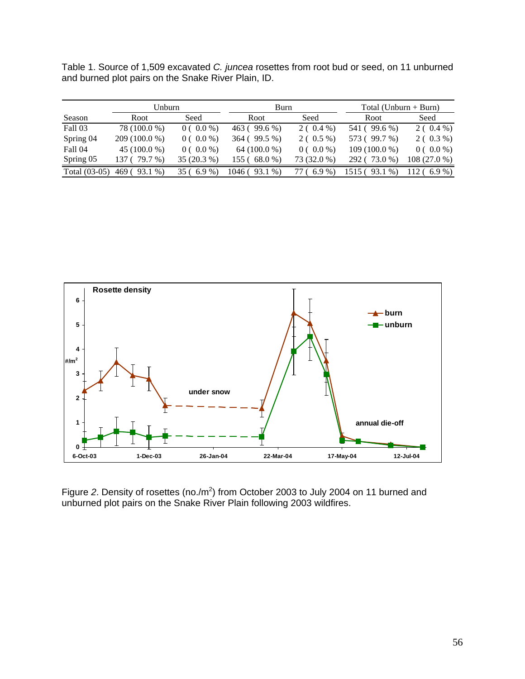Table 1. Source of 1,509 excavated *C. juncea* rosettes from root bud or seed, on 11 unburned and burned plot pairs on the Snake River Plain, ID.

|                | Unburn          |             | Burn               |             | Total (Unburn $+$ Burn) |              |  |
|----------------|-----------------|-------------|--------------------|-------------|-------------------------|--------------|--|
| Season         | Root            | Seed        | Root               | Seed        | Root                    | Seed         |  |
| Fall 03        | 78 (100.0 %)    | $0(0.0\%)$  | 463 (99.6 %)       | $2(0.4\%)$  | 541 (99.6 %)            | $2(0.4\%)$   |  |
| Spring 04      | 209 (100.0 %)   | $0(0.0\%)$  | 364 (99.5 %)       | $2(0.5\%)$  | 573 (99.7 %)            | $2(0.3\%)$   |  |
| <b>Fall 04</b> | $45(100.0\%)$   | $0(0.0\%)$  | 64 $(100.0\%)$     | $0(0.0\%)$  | $109(100.0\%)$          | $0(0.0\%)$   |  |
| Spring 05      | 79.7 %)         | 35 (20.3 %) | 155 ( 68.0 %)      | 73 (32.0 %) | 73.0 %)<br>292 (        | 108 (27.0 %) |  |
| Total (03-05)  | $93.1\%$<br>469 | $6.9\%$     | $93.1\%$<br>1046 ( | $6.9\%$     | $93.1\%$                | $6.9\%$      |  |



Figure 2. Density of rosettes (no./m<sup>2</sup>) from October 2003 to July 2004 on 11 burned and unburned plot pairs on the Snake River Plain following 2003 wildfires.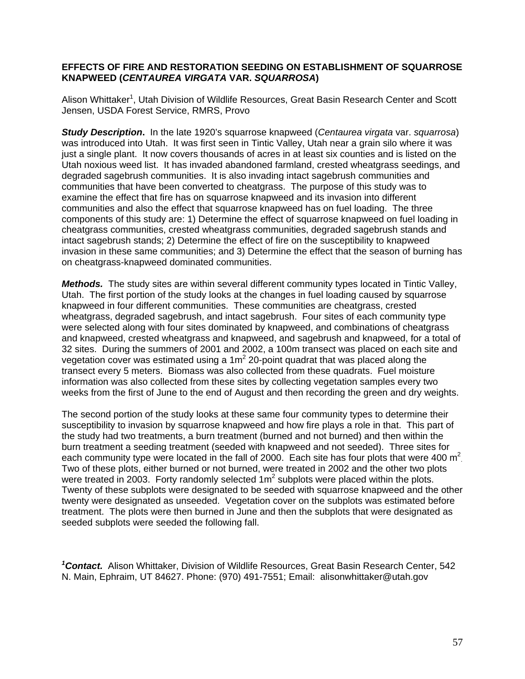#### **EFFECTS OF FIRE AND RESTORATION SEEDING ON ESTABLISHMENT OF SQUARROSE KNAPWEED (***CENTAUREA VIRGATA* **VAR.** *SQUARROSA***)**

Alison Whittaker<sup>1</sup>, Utah Division of Wildlife Resources, Great Basin Research Center and Scott Jensen, USDA Forest Service, RMRS, Provo

*Study Description***.** In the late 1920's squarrose knapweed (*Centaurea virgata* var. *squarrosa*) was introduced into Utah. It was first seen in Tintic Valley, Utah near a grain silo where it was just a single plant. It now covers thousands of acres in at least six counties and is listed on the Utah noxious weed list. It has invaded abandoned farmland, crested wheatgrass seedings, and degraded sagebrush communities. It is also invading intact sagebrush communities and communities that have been converted to cheatgrass. The purpose of this study was to examine the effect that fire has on squarrose knapweed and its invasion into different communities and also the effect that squarrose knapweed has on fuel loading. The three components of this study are: 1) Determine the effect of squarrose knapweed on fuel loading in cheatgrass communities, crested wheatgrass communities, degraded sagebrush stands and intact sagebrush stands; 2) Determine the effect of fire on the susceptibility to knapweed invasion in these same communities; and 3) Determine the effect that the season of burning has on cheatgrass-knapweed dominated communities.

*Methods.* The study sites are within several different community types located in Tintic Valley, Utah. The first portion of the study looks at the changes in fuel loading caused by squarrose knapweed in four different communities. These communities are cheatgrass, crested wheatgrass, degraded sagebrush, and intact sagebrush. Four sites of each community type were selected along with four sites dominated by knapweed, and combinations of cheatgrass and knapweed, crested wheatgrass and knapweed, and sagebrush and knapweed, for a total of 32 sites. During the summers of 2001 and 2002, a 100m transect was placed on each site and vegetation cover was estimated using a 1m<sup>2</sup> 20-point quadrat that was placed along the transect every 5 meters. Biomass was also collected from these quadrats. Fuel moisture information was also collected from these sites by collecting vegetation samples every two weeks from the first of June to the end of August and then recording the green and dry weights.

The second portion of the study looks at these same four community types to determine their susceptibility to invasion by squarrose knapweed and how fire plays a role in that. This part of the study had two treatments, a burn treatment (burned and not burned) and then within the burn treatment a seeding treatment (seeded with knapweed and not seeded). Three sites for each community type were located in the fall of 2000. Each site has four plots that were 400  $m^2$ Two of these plots, either burned or not burned, were treated in 2002 and the other two plots were treated in 2003. Forty randomly selected  $1m^2$  subplots were placed within the plots. Twenty of these subplots were designated to be seeded with squarrose knapweed and the other twenty were designated as unseeded. Vegetation cover on the subplots was estimated before treatment. The plots were then burned in June and then the subplots that were designated as seeded subplots were seeded the following fall.

*1 Contact.* Alison Whittaker, Division of Wildlife Resources, Great Basin Research Center, 542 N. Main, Ephraim, UT 84627. Phone: (970) 491-7551; Email: alisonwhittaker@utah.gov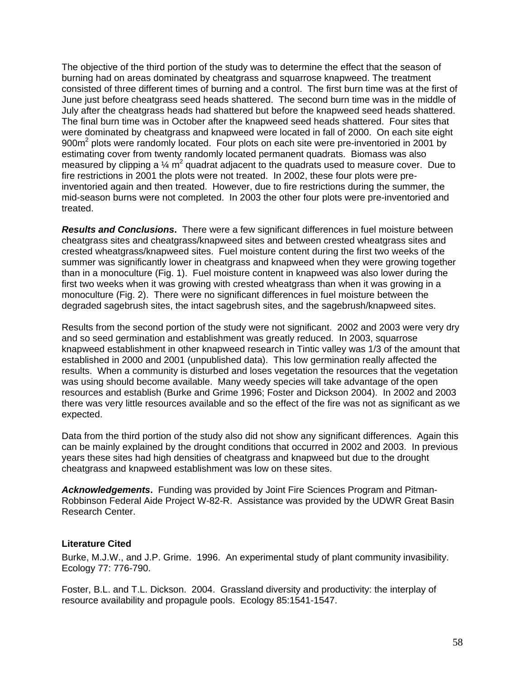The objective of the third portion of the study was to determine the effect that the season of burning had on areas dominated by cheatgrass and squarrose knapweed. The treatment consisted of three different times of burning and a control. The first burn time was at the first of June just before cheatgrass seed heads shattered. The second burn time was in the middle of July after the cheatgrass heads had shattered but before the knapweed seed heads shattered. The final burn time was in October after the knapweed seed heads shattered. Four sites that were dominated by cheatgrass and knapweed were located in fall of 2000. On each site eight 900m<sup>2</sup> plots were randomly located. Four plots on each site were pre-inventoried in 2001 by estimating cover from twenty randomly located permanent quadrats. Biomass was also measured by clipping a  $\%$  m<sup>2</sup> quadrat adjacent to the quadrats used to measure cover. Due to fire restrictions in 2001 the plots were not treated. In 2002, these four plots were preinventoried again and then treated. However, due to fire restrictions during the summer, the mid-season burns were not completed. In 2003 the other four plots were pre-inventoried and treated.

*Results and Conclusions***.** There were a few significant differences in fuel moisture between cheatgrass sites and cheatgrass/knapweed sites and between crested wheatgrass sites and crested wheatgrass/knapweed sites. Fuel moisture content during the first two weeks of the summer was significantly lower in cheatgrass and knapweed when they were growing together than in a monoculture (Fig. 1). Fuel moisture content in knapweed was also lower during the first two weeks when it was growing with crested wheatgrass than when it was growing in a monoculture (Fig. 2). There were no significant differences in fuel moisture between the degraded sagebrush sites, the intact sagebrush sites, and the sagebrush/knapweed sites.

Results from the second portion of the study were not significant. 2002 and 2003 were very dry and so seed germination and establishment was greatly reduced. In 2003, squarrose knapweed establishment in other knapweed research in Tintic valley was 1/3 of the amount that established in 2000 and 2001 (unpublished data). This low germination really affected the results. When a community is disturbed and loses vegetation the resources that the vegetation was using should become available. Many weedy species will take advantage of the open resources and establish (Burke and Grime 1996; Foster and Dickson 2004). In 2002 and 2003 there was very little resources available and so the effect of the fire was not as significant as we expected.

Data from the third portion of the study also did not show any significant differences. Again this can be mainly explained by the drought conditions that occurred in 2002 and 2003. In previous years these sites had high densities of cheatgrass and knapweed but due to the drought cheatgrass and knapweed establishment was low on these sites.

*Acknowledgements***.** Funding was provided by Joint Fire Sciences Program and Pitman-Robbinson Federal Aide Project W-82-R. Assistance was provided by the UDWR Great Basin Research Center.

#### **Literature Cited**

Burke, M.J.W., and J.P. Grime. 1996. An experimental study of plant community invasibility. Ecology 77: 776-790.

Foster, B.L. and T.L. Dickson. 2004. Grassland diversity and productivity: the interplay of resource availability and propagule pools. Ecology 85:1541-1547.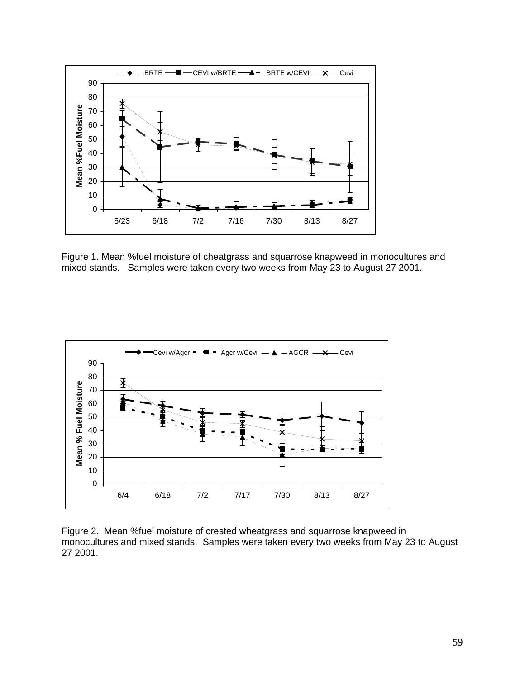

Figure 1. Mean %fuel moisture of cheatgrass and squarrose knapweed in monocultures and mixed stands. Samples were taken every two weeks from May 23 to August 27 2001.



Figure 2. Mean %fuel moisture of crested wheatgrass and squarrose knapweed in monocultures and mixed stands. Samples were taken every two weeks from May 23 to August 27 2001.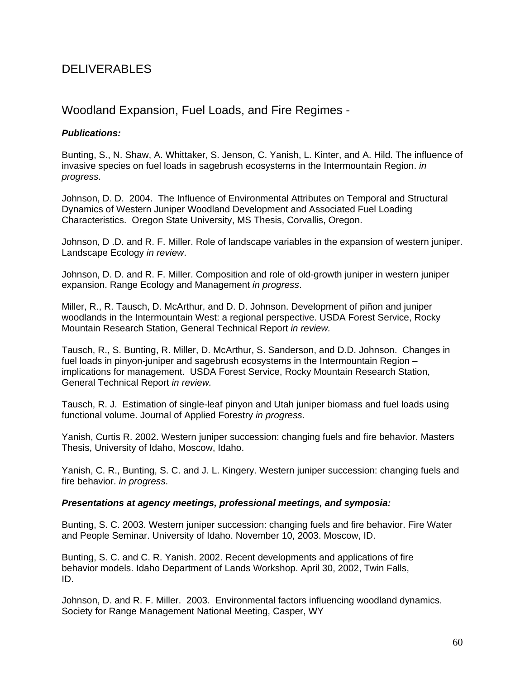## DELIVERABLES

## Woodland Expansion, Fuel Loads, and Fire Regimes -

#### *Publications:*

Bunting, S., N. Shaw, A. Whittaker, S. Jenson, C. Yanish, L. Kinter, and A. Hild. The influence of invasive species on fuel loads in sagebrush ecosystems in the Intermountain Region. *in progress*.

Johnson, D. D. 2004. The Influence of Environmental Attributes on Temporal and Structural Dynamics of Western Juniper Woodland Development and Associated Fuel Loading Characteristics. Oregon State University, MS Thesis, Corvallis, Oregon.

Johnson, D .D. and R. F. Miller. Role of landscape variables in the expansion of western juniper. Landscape Ecology *in review*.

Johnson, D. D. and R. F. Miller. Composition and role of old-growth juniper in western juniper expansion. Range Ecology and Management *in progress*.

Miller, R., R. Tausch, D. McArthur, and D. D. Johnson. Development of piñon and juniper woodlands in the Intermountain West: a regional perspective. USDA Forest Service, Rocky Mountain Research Station, General Technical Report *in review.* 

Tausch, R., S. Bunting, R. Miller, D. McArthur, S. Sanderson, and D.D. Johnson. Changes in fuel loads in pinyon-juniper and sagebrush ecosystems in the Intermountain Region – implications for management. USDA Forest Service, Rocky Mountain Research Station, General Technical Report *in review.*

Tausch, R. J. Estimation of single-leaf pinyon and Utah juniper biomass and fuel loads using functional volume. Journal of Applied Forestry *in progress*.

Yanish, Curtis R. 2002. Western juniper succession: changing fuels and fire behavior. Masters Thesis, University of Idaho, Moscow, Idaho.

Yanish, C. R., Bunting, S. C. and J. L. Kingery. Western juniper succession: changing fuels and fire behavior. *in progress*.

#### *Presentations at agency meetings, professional meetings, and symposia:*

Bunting, S. C. 2003. Western juniper succession: changing fuels and fire behavior. Fire Water and People Seminar. University of Idaho. November 10, 2003. Moscow, ID.

Bunting, S. C. and C. R. Yanish. 2002. Recent developments and applications of fire behavior models. Idaho Department of Lands Workshop. April 30, 2002, Twin Falls, ID.

Johnson, D. and R. F. Miller. 2003. Environmental factors influencing woodland dynamics. Society for Range Management National Meeting, Casper, WY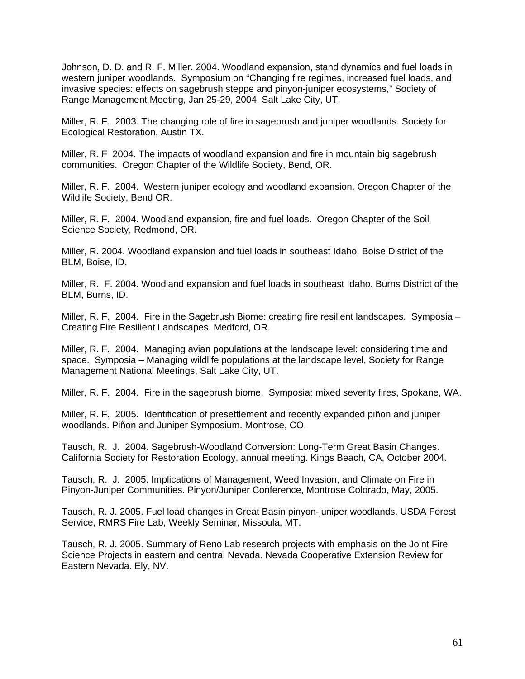Johnson, D. D. and R. F. Miller. 2004. Woodland expansion, stand dynamics and fuel loads in western juniper woodlands. Symposium on "Changing fire regimes, increased fuel loads, and invasive species: effects on sagebrush steppe and pinyon-juniper ecosystems," Society of Range Management Meeting, Jan 25-29, 2004, Salt Lake City, UT.

Miller, R. F. 2003. The changing role of fire in sagebrush and juniper woodlands. Society for Ecological Restoration, Austin TX.

Miller, R. F 2004. The impacts of woodland expansion and fire in mountain big sagebrush communities. Oregon Chapter of the Wildlife Society, Bend, OR.

Miller, R. F. 2004. Western juniper ecology and woodland expansion. Oregon Chapter of the Wildlife Society, Bend OR.

Miller, R. F. 2004. Woodland expansion, fire and fuel loads. Oregon Chapter of the Soil Science Society, Redmond, OR.

Miller, R. 2004. Woodland expansion and fuel loads in southeast Idaho. Boise District of the BLM, Boise, ID.

Miller, R. F. 2004. Woodland expansion and fuel loads in southeast Idaho. Burns District of the BLM, Burns, ID.

Miller, R. F. 2004. Fire in the Sagebrush Biome: creating fire resilient landscapes. Symposia – Creating Fire Resilient Landscapes. Medford, OR.

Miller, R. F. 2004. Managing avian populations at the landscape level: considering time and space. Symposia – Managing wildlife populations at the landscape level, Society for Range Management National Meetings, Salt Lake City, UT.

Miller, R. F. 2004. Fire in the sagebrush biome. Symposia: mixed severity fires, Spokane, WA.

Miller, R. F. 2005. Identification of presettlement and recently expanded piñon and juniper woodlands. Piñon and Juniper Symposium. Montrose, CO.

Tausch, R. J. 2004. Sagebrush-Woodland Conversion: Long-Term Great Basin Changes. California Society for Restoration Ecology, annual meeting. Kings Beach, CA, October 2004.

Tausch, R. J. 2005. Implications of Management, Weed Invasion, and Climate on Fire in Pinyon-Juniper Communities. Pinyon/Juniper Conference, Montrose Colorado, May, 2005.

Tausch, R. J. 2005. Fuel load changes in Great Basin pinyon-juniper woodlands. USDA Forest Service, RMRS Fire Lab, Weekly Seminar, Missoula, MT.

Tausch, R. J. 2005. Summary of Reno Lab research projects with emphasis on the Joint Fire Science Projects in eastern and central Nevada. Nevada Cooperative Extension Review for Eastern Nevada. Ely, NV.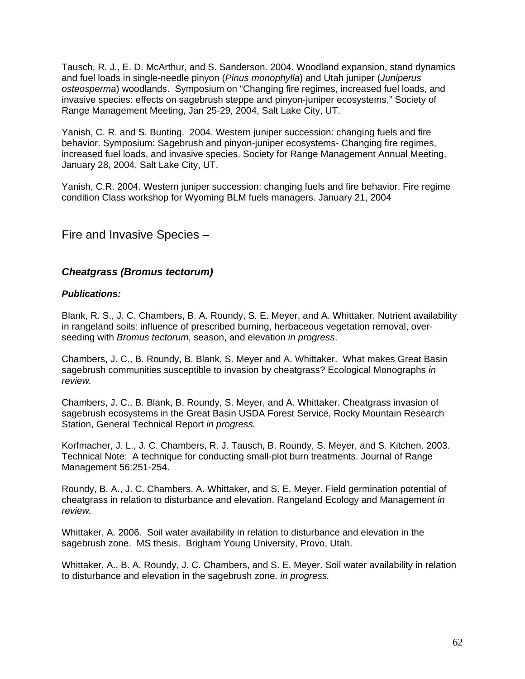Tausch, R. J., E. D. McArthur, and S. Sanderson. 2004. Woodland expansion, stand dynamics and fuel loads in single-needle pinyon (*Pinus monophylla*) and Utah juniper (*Juniperus osteosperma*) woodlands. Symposium on "Changing fire regimes, increased fuel loads, and invasive species: effects on sagebrush steppe and pinyon-juniper ecosystems," Society of Range Management Meeting, Jan 25-29, 2004, Salt Lake City, UT.

Yanish, C. R. and S. Bunting. 2004. Western juniper succession: changing fuels and fire behavior. Symposium: Sagebrush and pinyon-juniper ecosystems- Changing fire regimes, increased fuel loads, and invasive species. Society for Range Management Annual Meeting, January 28, 2004, Salt Lake City, UT.

Yanish, C.R. 2004. Western juniper succession: changing fuels and fire behavior. Fire regime condition Class workshop for Wyoming BLM fuels managers. January 21, 2004

## Fire and Invasive Species –

#### *Cheatgrass (Bromus tectorum)*

#### *Publications:*

Blank, R. S., J. C. Chambers, B. A. Roundy, S. E. Meyer, and A. Whittaker. Nutrient availability in rangeland soils: influence of prescribed burning, herbaceous vegetation removal, overseeding with *Bromus tectorum*, season, and elevation *in progress*.

Chambers, J. C., B. Roundy, B. Blank, S. Meyer and A. Whittaker. What makes Great Basin sagebrush communities susceptible to invasion by cheatgrass? Ecological Monographs *in review.* 

Chambers, J. C., B. Blank, B. Roundy, S. Meyer, and A. Whittaker. Cheatgrass invasion of sagebrush ecosystems in the Great Basin USDA Forest Service, Rocky Mountain Research Station, General Technical Report *in progress.* 

Korfmacher, J. L., J. C. Chambers, R. J. Tausch, B. Roundy, S. Meyer, and S. Kitchen. 2003. Technical Note: A technique for conducting small-plot burn treatments. Journal of Range Management 56:251-254.

Roundy, B. A., J. C. Chambers, A. Whittaker, and S. E. Meyer. Field germination potential of cheatgrass in relation to disturbance and elevation. Rangeland Ecology and Management *in review.* 

Whittaker, A. 2006. Soil water availability in relation to disturbance and elevation in the sagebrush zone. MS thesis. Brigham Young University, Provo, Utah.

Whittaker, A., B. A. Roundy, J. C. Chambers, and S. E. Meyer. Soil water availability in relation to disturbance and elevation in the sagebrush zone. *in progress.*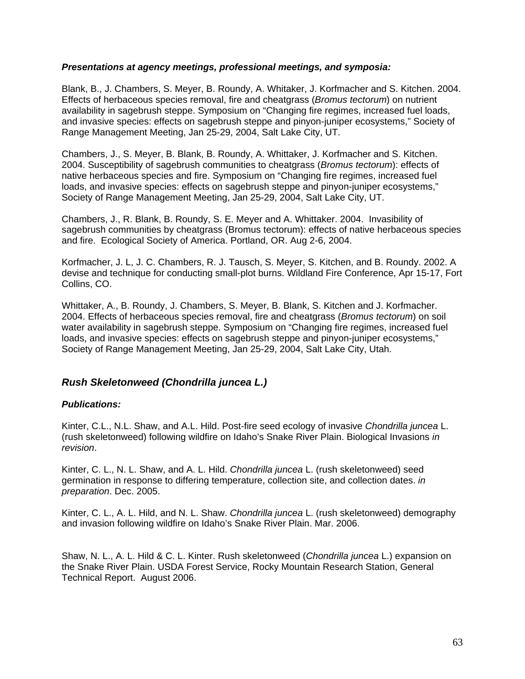#### *Presentations at agency meetings, professional meetings, and symposia:*

Blank, B., J. Chambers, S. Meyer, B. Roundy, A. Whitaker, J. Korfmacher and S. Kitchen. 2004. Effects of herbaceous species removal, fire and cheatgrass (*Bromus tectorum*) on nutrient availability in sagebrush steppe. Symposium on "Changing fire regimes, increased fuel loads, and invasive species: effects on sagebrush steppe and pinyon-juniper ecosystems," Society of Range Management Meeting, Jan 25-29, 2004, Salt Lake City, UT.

Chambers, J., S. Meyer, B. Blank, B. Roundy, A. Whittaker, J. Korfmacher and S. Kitchen. 2004. Susceptibility of sagebrush communities to cheatgrass (*Bromus tectorum*): effects of native herbaceous species and fire. Symposium on "Changing fire regimes, increased fuel loads, and invasive species: effects on sagebrush steppe and pinyon-juniper ecosystems," Society of Range Management Meeting, Jan 25-29, 2004, Salt Lake City, UT.

Chambers, J., R. Blank, B. Roundy, S. E. Meyer and A. Whittaker. 2004. Invasibility of sagebrush communities by cheatgrass (Bromus tectorum): effects of native herbaceous species and fire. Ecological Society of America. Portland, OR. Aug 2-6, 2004.

Korfmacher, J. L, J. C. Chambers, R. J. Tausch, S. Meyer, S. Kitchen, and B. Roundy. 2002. A devise and technique for conducting small-plot burns. Wildland Fire Conference, Apr 15-17, Fort Collins, CO.

Whittaker, A., B. Roundy, J. Chambers, S. Meyer, B. Blank, S. Kitchen and J. Korfmacher. 2004. Effects of herbaceous species removal, fire and cheatgrass (*Bromus tectorum*) on soil water availability in sagebrush steppe. Symposium on "Changing fire regimes, increased fuel loads, and invasive species: effects on sagebrush steppe and pinyon-juniper ecosystems," Society of Range Management Meeting, Jan 25-29, 2004, Salt Lake City, Utah.

#### *Rush Skeletonweed (Chondrilla juncea L.)*

#### *Publications:*

Kinter, C.L., N.L. Shaw, and A.L. Hild. Post-fire seed ecology of invasive *Chondrilla juncea* L. (rush skeletonweed) following wildfire on Idaho's Snake River Plain. Biological Invasions *in revision*.

Kinter, C. L., N. L. Shaw, and A. L. Hild. *Chondrilla juncea* L. (rush skeletonweed) seed germination in response to differing temperature, collection site, and collection dates. *in preparation*. Dec. 2005.

Kinter, C. L., A. L. Hild, and N. L. Shaw. *Chondrilla juncea* L. (rush skeletonweed) demography and invasion following wildfire on Idaho's Snake River Plain. Mar. 2006.

Shaw, N. L., A. L. Hild & C. L. Kinter. Rush skeletonweed (*Chondrilla juncea* L.) expansion on the Snake River Plain. USDA Forest Service, Rocky Mountain Research Station, General Technical Report. August 2006.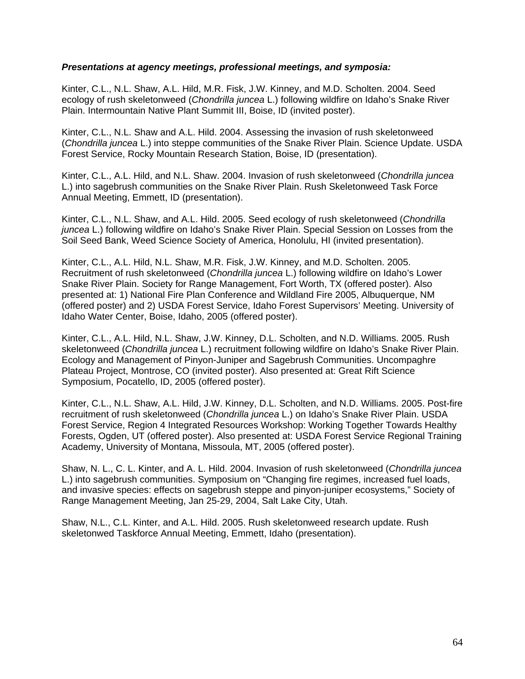#### *Presentations at agency meetings, professional meetings, and symposia:*

Kinter, C.L., N.L. Shaw, A.L. Hild, M.R. Fisk, J.W. Kinney, and M.D. Scholten. 2004. Seed ecology of rush skeletonweed (*Chondrilla juncea* L.) following wildfire on Idaho's Snake River Plain. Intermountain Native Plant Summit III, Boise, ID (invited poster).

Kinter, C.L., N.L. Shaw and A.L. Hild. 2004. Assessing the invasion of rush skeletonweed (*Chondrilla juncea* L.) into steppe communities of the Snake River Plain. Science Update. USDA Forest Service, Rocky Mountain Research Station, Boise, ID (presentation).

Kinter, C.L., A.L. Hild, and N.L. Shaw. 2004. Invasion of rush skeletonweed (*Chondrilla juncea* L.) into sagebrush communities on the Snake River Plain. Rush Skeletonweed Task Force Annual Meeting, Emmett, ID (presentation).

Kinter, C.L., N.L. Shaw, and A.L. Hild. 2005. Seed ecology of rush skeletonweed (*Chondrilla juncea* L.) following wildfire on Idaho's Snake River Plain. Special Session on Losses from the Soil Seed Bank, Weed Science Society of America, Honolulu, HI (invited presentation).

Kinter, C.L., A.L. Hild, N.L. Shaw, M.R. Fisk, J.W. Kinney, and M.D. Scholten. 2005. Recruitment of rush skeletonweed (*Chondrilla juncea* L.) following wildfire on Idaho's Lower Snake River Plain. Society for Range Management, Fort Worth, TX (offered poster). Also presented at: 1) National Fire Plan Conference and Wildland Fire 2005, Albuquerque, NM (offered poster) and 2) USDA Forest Service, Idaho Forest Supervisors' Meeting. University of Idaho Water Center, Boise, Idaho, 2005 (offered poster).

Kinter, C.L., A.L. Hild, N.L. Shaw, J.W. Kinney, D.L. Scholten, and N.D. Williams. 2005. Rush skeletonweed (*Chondrilla juncea* L.) recruitment following wildfire on Idaho's Snake River Plain. Ecology and Management of Pinyon-Juniper and Sagebrush Communities. Uncompaghre Plateau Project, Montrose, CO (invited poster). Also presented at: Great Rift Science Symposium, Pocatello, ID, 2005 (offered poster).

Kinter, C.L., N.L. Shaw, A.L. Hild, J.W. Kinney, D.L. Scholten, and N.D. Williams. 2005. Post-fire recruitment of rush skeletonweed (*Chondrilla juncea* L.) on Idaho's Snake River Plain. USDA Forest Service, Region 4 Integrated Resources Workshop: Working Together Towards Healthy Forests, Ogden, UT (offered poster). Also presented at: USDA Forest Service Regional Training Academy, University of Montana, Missoula, MT, 2005 (offered poster).

Shaw, N. L., C. L. Kinter, and A. L. Hild. 2004. Invasion of rush skeletonweed (*Chondrilla juncea* L.) into sagebrush communities. Symposium on "Changing fire regimes, increased fuel loads, and invasive species: effects on sagebrush steppe and pinyon-juniper ecosystems," Society of Range Management Meeting, Jan 25-29, 2004, Salt Lake City, Utah.

Shaw, N.L., C.L. Kinter, and A.L. Hild. 2005. Rush skeletonweed research update. Rush skeletonwed Taskforce Annual Meeting, Emmett, Idaho (presentation).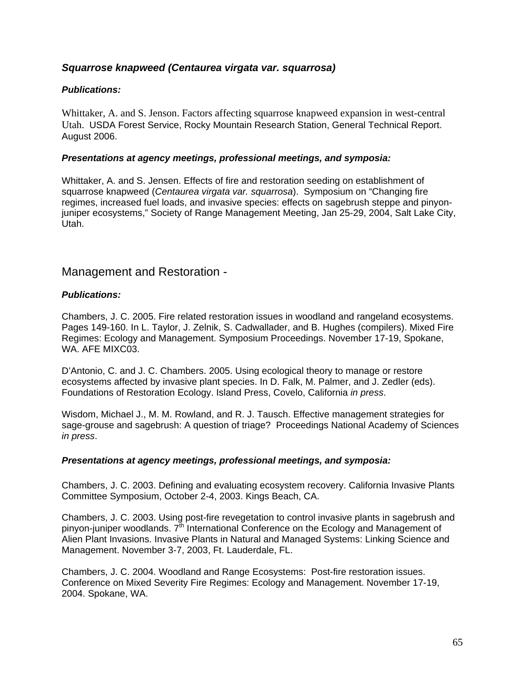#### *Squarrose knapweed (Centaurea virgata var. squarrosa)*

#### *Publications:*

Whittaker, A. and S. Jenson. Factors affecting squarrose knapweed expansion in west-central Utah. USDA Forest Service, Rocky Mountain Research Station, General Technical Report. August 2006.

#### *Presentations at agency meetings, professional meetings, and symposia:*

Whittaker, A. and S. Jensen. Effects of fire and restoration seeding on establishment of squarrose knapweed (*Centaurea virgata var. squarrosa*). Symposium on "Changing fire regimes, increased fuel loads, and invasive species: effects on sagebrush steppe and pinyonjuniper ecosystems," Society of Range Management Meeting, Jan 25-29, 2004, Salt Lake City, Utah.

## Management and Restoration -

#### *Publications:*

Chambers, J. C. 2005. Fire related restoration issues in woodland and rangeland ecosystems. Pages 149-160. In L. Taylor, J. Zelnik, S. Cadwallader, and B. Hughes (compilers). Mixed Fire Regimes: Ecology and Management. Symposium Proceedings. November 17-19, Spokane, WA. AFE MIXC03.

D'Antonio, C. and J. C. Chambers. 2005. Using ecological theory to manage or restore ecosystems affected by invasive plant species. In D. Falk, M. Palmer, and J. Zedler (eds). Foundations of Restoration Ecology. Island Press, Covelo, California *in press*.

Wisdom, Michael J., M. M. Rowland, and R. J. Tausch. Effective management strategies for sage-grouse and sagebrush: A question of triage? Proceedings National Academy of Sciences *in press*.

#### *Presentations at agency meetings, professional meetings, and symposia:*

Chambers, J. C. 2003. Defining and evaluating ecosystem recovery. California Invasive Plants Committee Symposium, October 2-4, 2003. Kings Beach, CA.

Chambers, J. C. 2003. Using post-fire revegetation to control invasive plants in sagebrush and pinyon-juniper woodlands.  $7<sup>th</sup>$  International Conference on the Ecology and Management of Alien Plant Invasions. Invasive Plants in Natural and Managed Systems: Linking Science and Management. November 3-7, 2003, Ft. Lauderdale, FL.

Chambers, J. C. 2004. Woodland and Range Ecosystems: Post-fire restoration issues. Conference on Mixed Severity Fire Regimes: Ecology and Management. November 17-19, 2004. Spokane, WA.